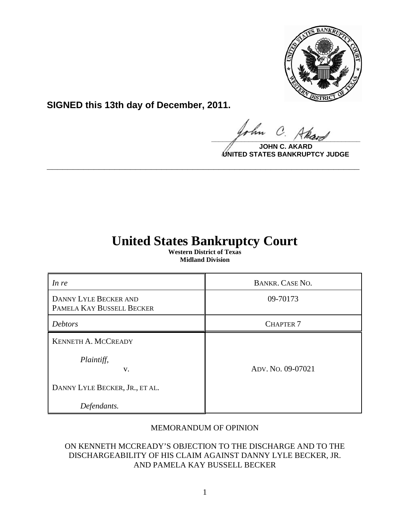

**SIGNED this 13th day of December, 2011.**

hn  $\Omega$  $\frac{1}{\sqrt{1-\frac{1}{2}}\sqrt{1-\frac{1}{2}}\sqrt{1-\frac{1}{2}}\sqrt{1-\frac{1}{2}}\sqrt{1-\frac{1}{2}}\sqrt{1-\frac{1}{2}}\sqrt{1-\frac{1}{2}}\sqrt{1-\frac{1}{2}}\sqrt{1-\frac{1}{2}}\sqrt{1-\frac{1}{2}}\sqrt{1-\frac{1}{2}}\sqrt{1-\frac{1}{2}}\sqrt{1-\frac{1}{2}}\sqrt{1-\frac{1}{2}}\sqrt{1-\frac{1}{2}}\sqrt{1-\frac{1}{2}}\sqrt{1-\frac{1}{2}}\sqrt{1-\frac{1}{2}}\sqrt{1-\frac{1}{2}}\sqrt{1-\frac$ 

**JOHN C. AKARD UNITED STATES BANKRUPTCY JUDGE**

# **United States Bankruptcy Court**

**\_\_\_\_\_\_\_\_\_\_\_\_\_\_\_\_\_\_\_\_\_\_\_\_\_\_\_\_\_\_\_\_\_\_\_\_\_\_\_\_\_\_\_\_\_\_\_\_\_\_\_\_\_\_\_\_\_\_\_\_**

**Western District of Texas Midland Division**

| In re                                                     | <b>BANKR. CASE NO.</b> |
|-----------------------------------------------------------|------------------------|
| <b>DANNY LYLE BECKER AND</b><br>PAMELA KAY BUSSELL BECKER | 09-70173               |
| <b>Debtors</b>                                            | <b>CHAPTER 7</b>       |
| <b>KENNETH A. MCCREADY</b>                                |                        |
| Plaintiff,<br>V.                                          | ADV. No. 09-07021      |
| DANNY LYLE BECKER, JR., ET AL.                            |                        |
| Defendants.                                               |                        |

# MEMORANDUM OF OPINION

# ON KENNETH MCCREADY'S OBJECTION TO THE DISCHARGE AND TO THE DISCHARGEABILITY OF HIS CLAIM AGAINST DANNY LYLE BECKER, JR. AND PAMELA KAY BUSSELL BECKER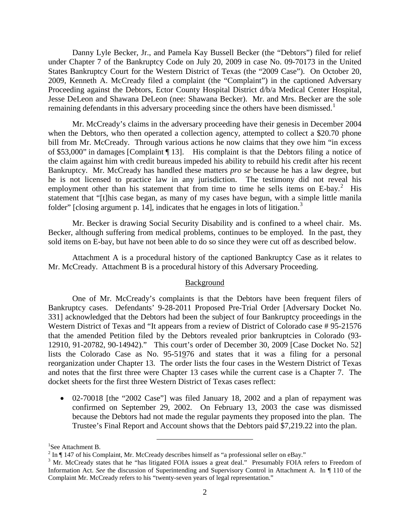Danny Lyle Becker, Jr., and Pamela Kay Bussell Becker (the "Debtors") filed for relief under Chapter 7 of the Bankruptcy Code on July 20, 2009 in case No. 09-70173 in the United States Bankruptcy Court for the Western District of Texas (the "2009 Case"). On October 20, 2009, Kenneth A. McCready filed a complaint (the "Complaint") in the captioned Adversary Proceeding against the Debtors, Ector County Hospital District d/b/a Medical Center Hospital, Jesse DeLeon and Shawana DeLeon (nee: Shawana Becker). Mr. and Mrs. Becker are the sole remaining defendants in this adversary proceeding since the others have been dismissed.<sup>[1](#page-1-0)</sup>

Mr. McCready's claims in the adversary proceeding have their genesis in December 2004 when the Debtors, who then operated a collection agency, attempted to collect a \$20.70 phone bill from Mr. McCready. Through various actions he now claims that they owe him "in excess of \$53,000" in damages [Complaint ¶ 13]. His complaint is that the Debtors filing a notice of the claim against him with credit bureaus impeded his ability to rebuild his credit after his recent Bankruptcy. Mr. McCready has handled these matters *pro se* because he has a law degree, but he is not licensed to practice law in any jurisdiction. The testimony did not reveal his employment other than his statement that from time to time he sells items on E-bay.<sup>[2](#page-1-1)</sup> His statement that "[t]his case began, as many of my cases have begun, with a simple little manila folder" [closing argument p. 14], indicates that he engages in lots of litigation.<sup>[3](#page-1-2)</sup>

Mr. Becker is drawing Social Security Disability and is confined to a wheel chair. Ms. Becker, although suffering from medical problems, continues to be employed. In the past, they sold items on E-bay, but have not been able to do so since they were cut off as described below.

Attachment A is a procedural history of the captioned Bankruptcy Case as it relates to Mr. McCready. Attachment B is a procedural history of this Adversary Proceeding.

#### **Background**

One of Mr. McCready's complaints is that the Debtors have been frequent filers of Bankruptcy cases. Defendants' 9-28-2011 Proposed Pre-Trial Order [Adversary Docket No. 331] acknowledged that the Debtors had been the subject of four Bankruptcy proceedings in the Western District of Texas and "It appears from a review of District of Colorado case # 95-21576 that the amended Petition filed by the Debtors revealed prior bankruptcies in Colorado (93- 12910, 91-20782, 90-14942)." This court's order of December 30, 2009 [Case Docket No. 52] lists the Colorado Case as No. 95-51976 and states that it was a filing for a personal reorganization under Chapter 13. The order lists the four cases in the Western District of Texas and notes that the first three were Chapter 13 cases while the current case is a Chapter 7. The docket sheets for the first three Western District of Texas cases reflect:

• 02-70018 [the "2002 Case"] was filed January 18, 2002 and a plan of repayment was confirmed on September 29, 2002. On February 13, 2003 the case was dismissed because the Debtors had not made the regular payments they proposed into the plan. The Trustee's Final Report and Account shows that the Debtors paid \$7,219.22 into the plan.

 <sup>1</sup> See Attachment B.

<span id="page-1-0"></span> $2 \text{ In } \P$  147 of his Complaint, Mr. McCready describes himself as "a professional seller on eBay."

<span id="page-1-2"></span><span id="page-1-1"></span><sup>&</sup>lt;sup>3</sup> Mr. McCready states that he "has litigated FOIA issues a great deal." Presumably FOIA refers to Freedom of Information Act. *See* the discussion of Superintending and Supervisory Control in Attachment A. In ¶ 110 of the Complaint Mr. McCready refers to his "twenty-seven years of legal representation."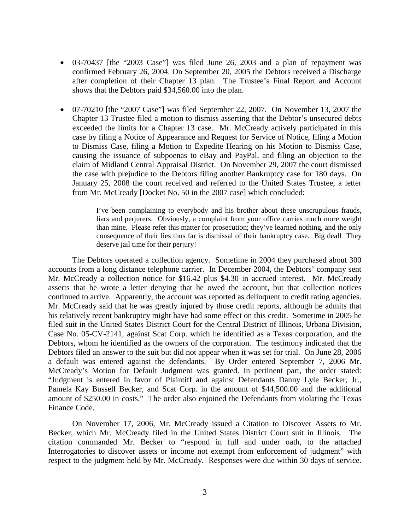- 03-70437 [the "2003 Case"] was filed June 26, 2003 and a plan of repayment was confirmed February 26, 2004. On September 20, 2005 the Debtors received a Discharge after completion of their Chapter 13 plan. The Trustee's Final Report and Account shows that the Debtors paid \$34,560.00 into the plan.
- 07-70210 [the "2007 Case"] was filed September 22, 2007. On November 13, 2007 the Chapter 13 Trustee filed a motion to dismiss asserting that the Debtor's unsecured debts exceeded the limits for a Chapter 13 case. Mr. McCready actively participated in this case by filing a Notice of Appearance and Request for Service of Notice, filing a Motion to Dismiss Case, filing a Motion to Expedite Hearing on his Motion to Dismiss Case, causing the issuance of subpoenas to eBay and PayPal, and filing an objection to the claim of Midland Central Appraisal District. On November 29, 2007 the court dismissed the case with prejudice to the Debtors filing another Bankruptcy case for 180 days. On January 25, 2008 the court received and referred to the United States Trustee, a letter from Mr. McCready [Docket No. 50 in the 2007 case] which concluded:

I've been complaining to everybody and his brother about these unscrupulous frauds, liars and perjurers. Obviously, a complaint from your office carries much more weight than mine. Please refer this matter for prosecution; they've learned nothing, and the only consequence of their lies thus far is dismissal of their bankruptcy case. Big deal! They deserve jail time for their perjury!

The Debtors operated a collection agency. Sometime in 2004 they purchased about 300 accounts from a long distance telephone carrier. In December 2004, the Debtors' company sent Mr. McCready a collection notice for \$16.42 plus \$4.30 in accrued interest. Mr. McCready asserts that he wrote a letter denying that he owed the account, but that collection notices continued to arrive. Apparently, the account was reported as delinquent to credit rating agencies. Mr. McCready said that he was greatly injured by those credit reports, although he admits that his relatively recent bankruptcy might have had some effect on this credit. Sometime in 2005 he filed suit in the United States District Court for the Central District of Illinois, Urbana Division, Case No. 05-CV-2141, against Scat Corp. which he identified as a Texas corporation, and the Debtors, whom he identified as the owners of the corporation. The testimony indicated that the Debtors filed an answer to the suit but did not appear when it was set for trial. On June 28, 2006 a default was entered against the defendants. By Order entered September 7, 2006 Mr. McCready's Motion for Default Judgment was granted. In pertinent part, the order stated: "Judgment is entered in favor of Plaintiff and against Defendants Danny Lyle Becker, Jr., Pamela Kay Bussell Becker, and Scat Corp. in the amount of \$44,500.00 and the additional amount of \$250.00 in costs." The order also enjoined the Defendants from violating the Texas Finance Code.

On November 17, 2006, Mr. McCready issued a Citation to Discover Assets to Mr. Becker, which Mr. McCready filed in the United States District Court suit in Illinois. The citation commanded Mr. Becker to "respond in full and under oath, to the attached Interrogatories to discover assets or income not exempt from enforcement of judgment" with respect to the judgment held by Mr. McCready. Responses were due within 30 days of service.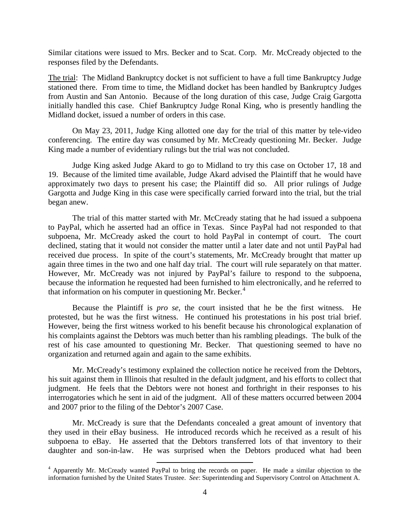Similar citations were issued to Mrs. Becker and to Scat. Corp. Mr. McCready objected to the responses filed by the Defendants.

The trial: The Midland Bankruptcy docket is not sufficient to have a full time Bankruptcy Judge stationed there. From time to time, the Midland docket has been handled by Bankruptcy Judges from Austin and San Antonio. Because of the long duration of this case, Judge Craig Gargotta initially handled this case. Chief Bankruptcy Judge Ronal King, who is presently handling the Midland docket, issued a number of orders in this case.

On May 23, 2011, Judge King allotted one day for the trial of this matter by tele-video conferencing. The entire day was consumed by Mr. McCready questioning Mr. Becker. Judge King made a number of evidentiary rulings but the trial was not concluded.

Judge King asked Judge Akard to go to Midland to try this case on October 17, 18 and 19. Because of the limited time available, Judge Akard advised the Plaintiff that he would have approximately two days to present his case; the Plaintiff did so. All prior rulings of Judge Gargotta and Judge King in this case were specifically carried forward into the trial, but the trial began anew.

The trial of this matter started with Mr. McCready stating that he had issued a subpoena to PayPal, which he asserted had an office in Texas. Since PayPal had not responded to that subpoena, Mr. McCready asked the court to hold PayPal in contempt of court. The court declined, stating that it would not consider the matter until a later date and not until PayPal had received due process. In spite of the court's statements, Mr. McCready brought that matter up again three times in the two and one half day trial. The court will rule separately on that matter. However, Mr. McCready was not injured by PayPal's failure to respond to the subpoena, because the information he requested had been furnished to him electronically, and he referred to that information on his computer in questioning Mr. Becker. $4$ 

Because the Plaintiff is *pro se*, the court insisted that he be the first witness. He protested, but he was the first witness. He continued his protestations in his post trial brief. However, being the first witness worked to his benefit because his chronological explanation of his complaints against the Debtors was much better than his rambling pleadings. The bulk of the rest of his case amounted to questioning Mr. Becker. That questioning seemed to have no organization and returned again and again to the same exhibits.

Mr. McCready's testimony explained the collection notice he received from the Debtors, his suit against them in Illinois that resulted in the default judgment, and his efforts to collect that judgment. He feels that the Debtors were not honest and forthright in their responses to his interrogatories which he sent in aid of the judgment. All of these matters occurred between 2004 and 2007 prior to the filing of the Debtor's 2007 Case.

Mr. McCready is sure that the Defendants concealed a great amount of inventory that they used in their eBay business. He introduced records which he received as a result of his subpoena to eBay. He asserted that the Debtors transferred lots of that inventory to their daughter and son-in-law. He was surprised when the Debtors produced what had been

<span id="page-3-0"></span><sup>&</sup>lt;sup>4</sup> Apparently Mr. McCready wanted PayPal to bring the records on paper. He made a similar objection to the information furnished by the United States Trustee. *See*: Superintending and Supervisory Control on Attachment A.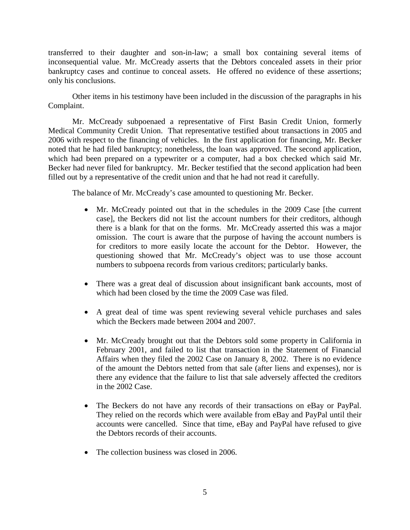transferred to their daughter and son-in-law; a small box containing several items of inconsequential value. Mr. McCready asserts that the Debtors concealed assets in their prior bankruptcy cases and continue to conceal assets. He offered no evidence of these assertions; only his conclusions.

Other items in his testimony have been included in the discussion of the paragraphs in his Complaint.

Mr. McCready subpoenaed a representative of First Basin Credit Union, formerly Medical Community Credit Union. That representative testified about transactions in 2005 and 2006 with respect to the financing of vehicles. In the first application for financing, Mr. Becker noted that he had filed bankruptcy; nonetheless, the loan was approved. The second application, which had been prepared on a typewriter or a computer, had a box checked which said Mr. Becker had never filed for bankruptcy. Mr. Becker testified that the second application had been filled out by a representative of the credit union and that he had not read it carefully.

The balance of Mr. McCready's case amounted to questioning Mr. Becker.

- Mr. McCready pointed out that in the schedules in the 2009 Case [the current case], the Beckers did not list the account numbers for their creditors, although there is a blank for that on the forms. Mr. McCready asserted this was a major omission. The court is aware that the purpose of having the account numbers is for creditors to more easily locate the account for the Debtor. However, the questioning showed that Mr. McCready's object was to use those account numbers to subpoena records from various creditors; particularly banks.
- There was a great deal of discussion about insignificant bank accounts, most of which had been closed by the time the 2009 Case was filed.
- A great deal of time was spent reviewing several vehicle purchases and sales which the Beckers made between 2004 and 2007.
- Mr. McCready brought out that the Debtors sold some property in California in February 2001, and failed to list that transaction in the Statement of Financial Affairs when they filed the 2002 Case on January 8, 2002. There is no evidence of the amount the Debtors netted from that sale (after liens and expenses), nor is there any evidence that the failure to list that sale adversely affected the creditors in the 2002 Case.
- The Beckers do not have any records of their transactions on eBay or PayPal. They relied on the records which were available from eBay and PayPal until their accounts were cancelled. Since that time, eBay and PayPal have refused to give the Debtors records of their accounts.
- The collection business was closed in 2006.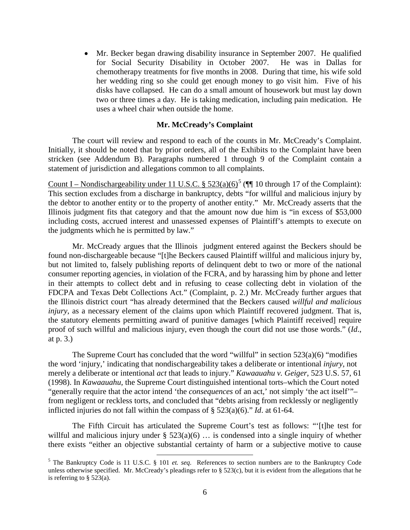• Mr. Becker began drawing disability insurance in September 2007. He qualified for Social Security Disability in October 2007. He was in Dallas for chemotherapy treatments for five months in 2008. During that time, his wife sold her wedding ring so she could get enough money to go visit him. Five of his disks have collapsed. He can do a small amount of housework but must lay down two or three times a day. He is taking medication, including pain medication. He uses a wheel chair when outside the home.

#### **Mr. McCready's Complaint**

The court will review and respond to each of the counts in Mr. McCready's Complaint. Initially, it should be noted that by prior orders, all of the Exhibits to the Complaint have been stricken (see Addendum B). Paragraphs numbered 1 through 9 of the Complaint contain a statement of jurisdiction and allegations common to all complaints.

Count I – Nondischargeability under 11 U.S.C. §  $523(a)(6)^5$  $523(a)(6)^5$  (¶ 10 through 17 of the Complaint): This section excludes from a discharge in bankruptcy, debts "for willful and malicious injury by the debtor to another entity or to the property of another entity." Mr. McCready asserts that the Illinois judgment fits that category and that the amount now due him is "in excess of \$53,000 including costs, accrued interest and unassessed expenses of Plaintiff's attempts to execute on the judgments which he is permitted by law."

Mr. McCready argues that the Illinois judgment entered against the Beckers should be found non-dischargeable because "[t]he Beckers caused Plaintiff willful and malicious injury by, but not limited to, falsely publishing reports of delinquent debt to two or more of the national consumer reporting agencies, in violation of the FCRA, and by harassing him by phone and letter in their attempts to collect debt and in refusing to cease collecting debt in violation of the FDCPA and Texas Debt Collections Act." (Complaint, p. 2.) Mr. McCready further argues that the Illinois district court "has already determined that the Beckers caused *willful and malicious injury*, as a necessary element of the claims upon which Plaintiff recovered judgment. That is, the statutory elements permitting award of punitive damages [which Plaintiff received] require proof of such willful and malicious injury, even though the court did not use those words." (*Id*., at p. 3.)

The Supreme Court has concluded that the word "willful" in section  $523(a)(6)$  "modifies the word 'injury,' indicating that nondischargeability takes a deliberate or intentional *injury*, not merely a deliberate or intentional *act* that leads to injury." *Kawaauahu v. Geiger*, 523 U.S. 57, 61 (1998). In *Kawaauahu*, the Supreme Court distinguished intentional torts–which the Court noted "generally require that the actor intend 'the *consequences* of an act,' not simply 'the act itself'"– from negligent or reckless torts, and concluded that "debts arising from recklessly or negligently inflicted injuries do not fall within the compass of § 523(a)(6)." *Id*. at 61-64.

The Fifth Circuit has articulated the Supreme Court's test as follows: "'[t]he test for willful and malicious injury under  $\S$  523(a)(6) ... is condensed into a single inquiry of whether there exists "either an objective substantial certainty of harm or a subjective motive to cause

<span id="page-5-0"></span> <sup>5</sup> The Bankruptcy Code is 11 U.S.C. § 101 *et. seq.* References to section numbers are to the Bankruptcy Code unless otherwise specified. Mr. McCready's pleadings refer to  $\S$  523(c), but it is evident from the allegations that he is referring to § 523(a).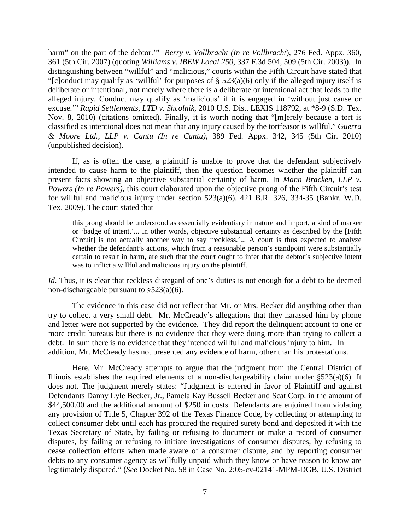harm" on the part of the debtor.'" *Berry v. Vollbracht (In re Vollbracht*), 276 Fed. Appx. 360, 361 (5th Cir. 2007) (quoting *Williams v. IBEW Local 250*, 337 F.3d 504, 509 (5th Cir. 2003)). In distinguishing between "willful" and "malicious," courts within the Fifth Circuit have stated that "[c]onduct may qualify as 'willful' for purposes of § 523(a)(6) only if the alleged injury itself is deliberate or intentional, not merely where there is a deliberate or intentional act that leads to the alleged injury. Conduct may qualify as 'malicious' if it is engaged in 'without just cause or excuse.'" *Rapid Settlements, LTD v. Shcolnik*, 2010 U.S. Dist. LEXIS 118792, at \*8-9 (S.D. Tex. Nov. 8, 2010) (citations omitted). Finally, it is worth noting that "[m]erely because a tort is classified as intentional does not mean that any injury caused by the tortfeasor is willful." *Guerra & Moore Ltd., LLP v. Cantu (In re Cantu)*, 389 Fed. Appx. 342, 345 (5th Cir. 2010) (unpublished decision).

If, as is often the case, a plaintiff is unable to prove that the defendant subjectively intended to cause harm to the plaintiff, then the question becomes whether the plaintiff can present facts showing an objective substantial certainty of harm. In *Mann Bracken, LLP v. Powers (In re Powers)*, this court elaborated upon the objective prong of the Fifth Circuit's test for willful and malicious injury under section 523(a)(6). 421 B.R. 326, 334-35 (Bankr. W.D. Tex. 2009). The court stated that

this prong should be understood as essentially evidentiary in nature and import, a kind of marker or 'badge of intent,'... In other words, objective substantial certainty as described by the [Fifth Circuit] is not actually another way to say 'reckless.'... A court is thus expected to analyze whether the defendant's actions, which from a reasonable person's standpoint were substantially certain to result in harm, are such that the court ought to infer that the debtor's subjective intent was to inflict a willful and malicious injury on the plaintiff.

*Id*. Thus, it is clear that reckless disregard of one's duties is not enough for a debt to be deemed non-dischargeable pursuant to §523(a)(6).

The evidence in this case did not reflect that Mr. or Mrs. Becker did anything other than try to collect a very small debt. Mr. McCready's allegations that they harassed him by phone and letter were not supported by the evidence. They did report the delinquent account to one or more credit bureaus but there is no evidence that they were doing more than trying to collect a debt. In sum there is no evidence that they intended willful and malicious injury to him. In addition, Mr. McCready has not presented any evidence of harm, other than his protestations.

Here, Mr. McCready attempts to argue that the judgment from the Central District of Illinois establishes the required elements of a non-dischargeability claim under §523(a)(6). It does not. The judgment merely states: "Judgment is entered in favor of Plaintiff and against Defendants Danny Lyle Becker, Jr., Pamela Kay Bussell Becker and Scat Corp. in the amount of \$44,500.00 and the additional amount of \$250 in costs. Defendants are enjoined from violating any provision of Title 5, Chapter 392 of the Texas Finance Code, by collecting or attempting to collect consumer debt until each has procured the required surety bond and deposited it with the Texas Secretary of State, by failing or refusing to document or make a record of consumer disputes, by failing or refusing to initiate investigations of consumer disputes, by refusing to cease collection efforts when made aware of a consumer dispute, and by reporting consumer debts to any consumer agency as willfully unpaid which they know or have reason to know are legitimately disputed." (*See* Docket No. 58 in Case No. 2:05-cv-02141-MPM-DGB, U.S. District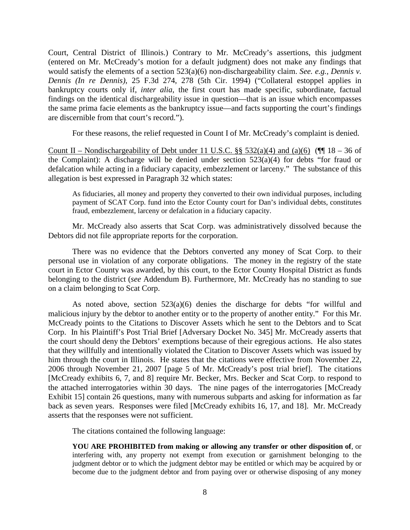Court, Central District of Illinois.) Contrary to Mr. McCready's assertions, this judgment (entered on Mr. McCready's motion for a default judgment) does not make any findings that would satisfy the elements of a section 523(a)(6) non-dischargeability claim. *See. e.g., Dennis v. Dennis (In re Dennis)*, 25 F.3d 274, 278 (5th Cir. 1994) ("Collateral estoppel applies in bankruptcy courts only if, *inter alia,* the first court has made specific, subordinate, factual findings on the identical dischargeability issue in question—that is an issue which encompasses the same prima facie elements as the bankruptcy issue—and facts supporting the court's findings are discernible from that court's record.").

For these reasons, the relief requested in Count I of Mr. McCready's complaint is denied.

Count II – Nondischargeability of Debt under 11 U.S.C.  $\S$ § 532(a)(4) and (a)(6) ( $\P$  18 – 36 of the Complaint): A discharge will be denied under section 523(a)(4) for debts "for fraud or defalcation while acting in a fiduciary capacity, embezzlement or larceny." The substance of this allegation is best expressed in Paragraph 32 which states:

As fiduciaries, all money and property they converted to their own individual purposes, including payment of SCAT Corp. fund into the Ector County court for Dan's individual debts, constitutes fraud, embezzlement, larceny or defalcation in a fiduciary capacity.

Mr. McCready also asserts that Scat Corp. was administratively dissolved because the Debtors did not file appropriate reports for the corporation.

There was no evidence that the Debtors converted any money of Scat Corp. to their personal use in violation of any corporate obligations. The money in the registry of the state court in Ector County was awarded, by this court, to the Ector County Hospital District as funds belonging to the district (*see* Addendum B). Furthermore, Mr. McCready has no standing to sue on a claim belonging to Scat Corp.

As noted above, section 523(a)(6) denies the discharge for debts "for willful and malicious injury by the debtor to another entity or to the property of another entity." For this Mr. McCready points to the Citations to Discover Assets which he sent to the Debtors and to Scat Corp. In his Plaintiff's Post Trial Brief [Adversary Docket No. 345] Mr. McCready asserts that the court should deny the Debtors' exemptions because of their egregious actions. He also states that they willfully and intentionally violated the Citation to Discover Assets which was issued by him through the court in Illinois. He states that the citations were effective from November 22, 2006 through November 21, 2007 [page 5 of Mr. McCready's post trial brief]. The citations [McCready exhibits 6, 7, and 8] require Mr. Becker, Mrs. Becker and Scat Corp. to respond to the attached interrogatories within 30 days. The nine pages of the interrogatories [McCready Exhibit 15] contain 26 questions, many with numerous subparts and asking for information as far back as seven years. Responses were filed [McCready exhibits 16, 17, and 18]. Mr. McCready asserts that the responses were not sufficient.

The citations contained the following language:

**YOU ARE PROHIBITED from making or allowing any transfer or other disposition of**, or interfering with, any property not exempt from execution or garnishment belonging to the judgment debtor or to which the judgment debtor may be entitled or which may be acquired by or become due to the judgment debtor and from paying over or otherwise disposing of any money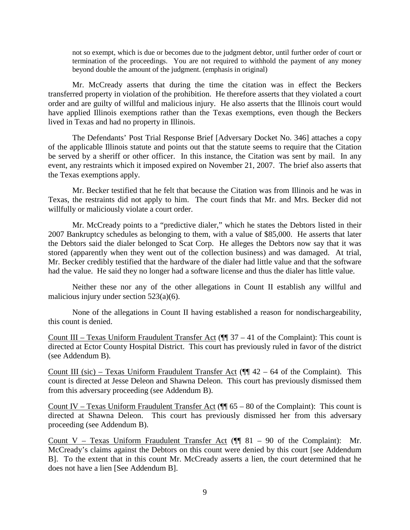not so exempt, which is due or becomes due to the judgment debtor, until further order of court or termination of the proceedings. You are not required to withhold the payment of any money beyond double the amount of the judgment. (emphasis in original)

Mr. McCready asserts that during the time the citation was in effect the Beckers transferred property in violation of the prohibition. He therefore asserts that they violated a court order and are guilty of willful and malicious injury. He also asserts that the Illinois court would have applied Illinois exemptions rather than the Texas exemptions, even though the Beckers lived in Texas and had no property in Illinois.

The Defendants' Post Trial Response Brief [Adversary Docket No. 346] attaches a copy of the applicable Illinois statute and points out that the statute seems to require that the Citation be served by a sheriff or other officer. In this instance, the Citation was sent by mail. In any event, any restraints which it imposed expired on November 21, 2007. The brief also asserts that the Texas exemptions apply.

Mr. Becker testified that he felt that because the Citation was from Illinois and he was in Texas, the restraints did not apply to him. The court finds that Mr. and Mrs. Becker did not willfully or maliciously violate a court order.

Mr. McCready points to a "predictive dialer," which he states the Debtors listed in their 2007 Bankruptcy schedules as belonging to them, with a value of \$85,000. He asserts that later the Debtors said the dialer belonged to Scat Corp. He alleges the Debtors now say that it was stored (apparently when they went out of the collection business) and was damaged. At trial, Mr. Becker credibly testified that the hardware of the dialer had little value and that the software had the value. He said they no longer had a software license and thus the dialer has little value.

Neither these nor any of the other allegations in Count II establish any willful and malicious injury under section 523(a)(6).

None of the allegations in Count II having established a reason for nondischargeability, this count is denied.

Count III – Texas Uniform Fraudulent Transfer Act (¶¶ 37 – 41 of the Complaint): This count is directed at Ector County Hospital District. This court has previously ruled in favor of the district (see Addendum B).

Count III (sic) – Texas Uniform Fraudulent Transfer Act ( $\P$  42 – 64 of the Complaint). This count is directed at Jesse Deleon and Shawna Deleon. This court has previously dismissed them from this adversary proceeding (see Addendum B).

Count IV – Texas Uniform Fraudulent Transfer Act ( $\P$  65 – 80 of the Complaint): This count is directed at Shawna Deleon. This court has previously dismissed her from this adversary proceeding (see Addendum B).

Count V – Texas Uniform Fraudulent Transfer Act  $(\P \P 81 - 90)$  of the Complaint): Mr. McCready's claims against the Debtors on this count were denied by this court [see Addendum B]. To the extent that in this count Mr. McCready asserts a lien, the court determined that he does not have a lien [See Addendum B].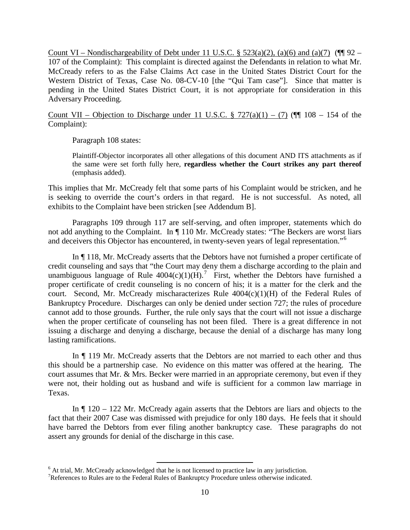Count VI – Nondischargeability of Debt under 11 U.S.C. § 523(a)(2), (a)(6) and (a)(7) ( $\P$ [92 – 107 of the Complaint): This complaint is directed against the Defendants in relation to what Mr. McCready refers to as the False Claims Act case in the United States District Court for the Western District of Texas, Case No. 08-CV-10 [the "Qui Tam case"]. Since that matter is pending in the United States District Court, it is not appropriate for consideration in this Adversary Proceeding.

Count VII – Objection to Discharge under 11 U.S.C.  $\S 727(a)(1) - (7)$  ( $\P$  108 – 154 of the Complaint):

Paragraph 108 states:

Plaintiff-Objector incorporates all other allegations of this document AND ITS attachments as if the same were set forth fully here, **regardless whether the Court strikes any part thereof** (emphasis added).

This implies that Mr. McCready felt that some parts of his Complaint would be stricken, and he is seeking to override the court's orders in that regard. He is not successful. As noted, all exhibits to the Complaint have been stricken [see Addendum B].

Paragraphs 109 through 117 are self-serving, and often improper, statements which do not add anything to the Complaint. In ¶ 110 Mr. McCready states: "The Beckers are worst liars and deceivers this Objector has encountered, in twenty-seven years of legal representation."<sup>[6](#page-9-0)</sup>

In ¶ 118, Mr. McCready asserts that the Debtors have not furnished a proper certificate of credit counseling and says that "the Court may deny them a discharge according to the plain and unambiguous language of Rule  $4004(c)(1)(H)$ .<sup>[7](#page-9-1)</sup> First, whether the Debtors have furnished a proper certificate of credit counseling is no concern of his; it is a matter for the clerk and the court. Second, Mr. McCready mischaracterizes Rule  $4004(c)(1)(H)$  of the Federal Rules of Bankruptcy Procedure. Discharges can only be denied under section 727; the rules of procedure cannot add to those grounds. Further, the rule only says that the court will not issue a discharge when the proper certificate of counseling has not been filed. There is a great difference in not issuing a discharge and denying a discharge, because the denial of a discharge has many long lasting ramifications.

In  $\P$  119 Mr. McCready asserts that the Debtors are not married to each other and thus this should be a partnership case. No evidence on this matter was offered at the hearing. The court assumes that Mr. & Mrs. Becker were married in an appropriate ceremony, but even if they were not, their holding out as husband and wife is sufficient for a common law marriage in Texas.

In  $\P$  120 – 122 Mr. McCready again asserts that the Debtors are liars and objects to the fact that their 2007 Case was dismissed with prejudice for only 180 days. He feels that it should have barred the Debtors from ever filing another bankruptcy case. These paragraphs do not assert any grounds for denial of the discharge in this case.

<span id="page-9-0"></span> $6$  At trial, Mr. McCready acknowledged that he is not licensed to practice law in any jurisdiction.

<span id="page-9-1"></span><sup>&</sup>lt;sup>7</sup>References to Rules are to the Federal Rules of Bankruptcy Procedure unless otherwise indicated.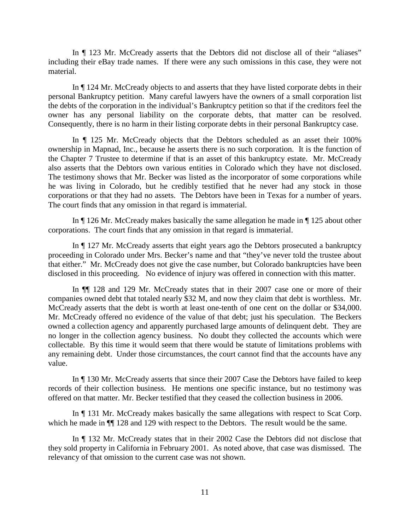In ¶ 123 Mr. McCready asserts that the Debtors did not disclose all of their "aliases" including their eBay trade names. If there were any such omissions in this case, they were not material.

In ¶ 124 Mr. McCready objects to and asserts that they have listed corporate debts in their personal Bankruptcy petition. Many careful lawyers have the owners of a small corporation list the debts of the corporation in the individual's Bankruptcy petition so that if the creditors feel the owner has any personal liability on the corporate debts, that matter can be resolved. Consequently, there is no harm in their listing corporate debts in their personal Bankruptcy case.

In ¶ 125 Mr. McCready objects that the Debtors scheduled as an asset their 100% ownership in Mapnad, Inc., because he asserts there is no such corporation. It is the function of the Chapter 7 Trustee to determine if that is an asset of this bankruptcy estate. Mr. McCready also asserts that the Debtors own various entities in Colorado which they have not disclosed. The testimony shows that Mr. Becker was listed as the incorporator of some corporations while he was living in Colorado, but he credibly testified that he never had any stock in those corporations or that they had no assets. The Debtors have been in Texas for a number of years. The court finds that any omission in that regard is immaterial.

In ¶ 126 Mr. McCready makes basically the same allegation he made in ¶ 125 about other corporations. The court finds that any omission in that regard is immaterial.

In ¶ 127 Mr. McCready asserts that eight years ago the Debtors prosecuted a bankruptcy proceeding in Colorado under Mrs. Becker's name and that "they've never told the trustee about that either." Mr. McCready does not give the case number, but Colorado bankruptcies have been disclosed in this proceeding. No evidence of injury was offered in connection with this matter.

In ¶¶ 128 and 129 Mr. McCready states that in their 2007 case one or more of their companies owned debt that totaled nearly \$32 M, and now they claim that debt is worthless. Mr. McCready asserts that the debt is worth at least one-tenth of one cent on the dollar or \$34,000. Mr. McCready offered no evidence of the value of that debt; just his speculation. The Beckers owned a collection agency and apparently purchased large amounts of delinquent debt. They are no longer in the collection agency business. No doubt they collected the accounts which were collectable. By this time it would seem that there would be statute of limitations problems with any remaining debt. Under those circumstances, the court cannot find that the accounts have any value.

In ¶ 130 Mr. McCready asserts that since their 2007 Case the Debtors have failed to keep records of their collection business. He mentions one specific instance, but no testimony was offered on that matter. Mr. Becker testified that they ceased the collection business in 2006.

In ¶ 131 Mr. McCready makes basically the same allegations with respect to Scat Corp. which he made in  $\P$  128 and 129 with respect to the Debtors. The result would be the same.

In ¶ 132 Mr. McCready states that in their 2002 Case the Debtors did not disclose that they sold property in California in February 2001. As noted above, that case was dismissed. The relevancy of that omission to the current case was not shown.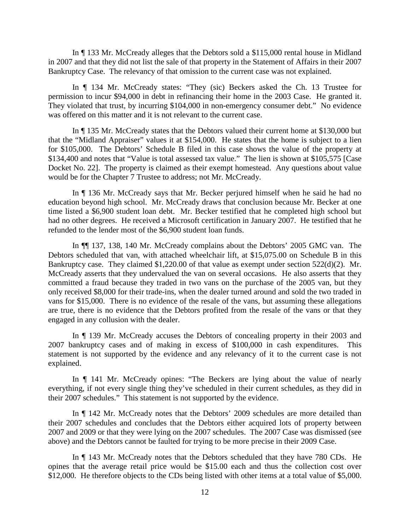In ¶ 133 Mr. McCready alleges that the Debtors sold a \$115,000 rental house in Midland in 2007 and that they did not list the sale of that property in the Statement of Affairs in their 2007 Bankruptcy Case. The relevancy of that omission to the current case was not explained.

In ¶ 134 Mr. McCready states: "They (sic) Beckers asked the Ch. 13 Trustee for permission to incur \$94,000 in debt in refinancing their home in the 2003 Case. He granted it. They violated that trust, by incurring \$104,000 in non-emergency consumer debt." No evidence was offered on this matter and it is not relevant to the current case.

In ¶ 135 Mr. McCready states that the Debtors valued their current home at \$130,000 but that the "Midland Appraiser" values it at \$154,000. He states that the home is subject to a lien for \$105,000. The Debtors' Schedule B filed in this case shows the value of the property at \$134,400 and notes that "Value is total assessed tax value." The lien is shown at \$105,575 [Case Docket No. 22]. The property is claimed as their exempt homestead. Any questions about value would be for the Chapter 7 Trustee to address; not Mr. McCready.

In ¶ 136 Mr. McCready says that Mr. Becker perjured himself when he said he had no education beyond high school. Mr. McCready draws that conclusion because Mr. Becker at one time listed a \$6,900 student loan debt. Mr. Becker testified that he completed high school but had no other degrees. He received a Microsoft certification in January 2007. He testified that he refunded to the lender most of the \$6,900 student loan funds.

In ¶¶ 137, 138, 140 Mr. McCready complains about the Debtors' 2005 GMC van. The Debtors scheduled that van, with attached wheelchair lift, at \$15,075.00 on Schedule B in this Bankruptcy case. They claimed \$1,220.00 of that value as exempt under section 522(d)(2). Mr. McCready asserts that they undervalued the van on several occasions. He also asserts that they committed a fraud because they traded in two vans on the purchase of the 2005 van, but they only received \$8,000 for their trade-ins, when the dealer turned around and sold the two traded in vans for \$15,000. There is no evidence of the resale of the vans, but assuming these allegations are true, there is no evidence that the Debtors profited from the resale of the vans or that they engaged in any collusion with the dealer.

In ¶ 139 Mr. McCready accuses the Debtors of concealing property in their 2003 and 2007 bankruptcy cases and of making in excess of \$100,000 in cash expenditures. This statement is not supported by the evidence and any relevancy of it to the current case is not explained.

In ¶ 141 Mr. McCready opines: "The Beckers are lying about the value of nearly everything, if not every single thing they've scheduled in their current schedules, as they did in their 2007 schedules." This statement is not supported by the evidence.

In ¶ 142 Mr. McCready notes that the Debtors' 2009 schedules are more detailed than their 2007 schedules and concludes that the Debtors either acquired lots of property between 2007 and 2009 or that they were lying on the 2007 schedules. The 2007 Case was dismissed (see above) and the Debtors cannot be faulted for trying to be more precise in their 2009 Case.

In ¶ 143 Mr. McCready notes that the Debtors scheduled that they have 780 CDs. He opines that the average retail price would be \$15.00 each and thus the collection cost over \$12,000. He therefore objects to the CDs being listed with other items at a total value of \$5,000.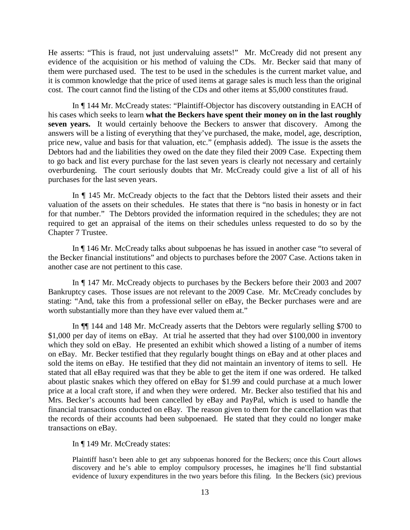He asserts: "This is fraud, not just undervaluing assets!" Mr. McCready did not present any evidence of the acquisition or his method of valuing the CDs. Mr. Becker said that many of them were purchased used. The test to be used in the schedules is the current market value, and it is common knowledge that the price of used items at garage sales is much less than the original cost. The court cannot find the listing of the CDs and other items at \$5,000 constitutes fraud.

In ¶ 144 Mr. McCready states: "Plaintiff-Objector has discovery outstanding in EACH of his cases which seeks to learn **what the Beckers have spent their money on in the last roughly seven years.** It would certainly behoove the Beckers to answer that discovery. Among the answers will be a listing of everything that they've purchased, the make, model, age, description, price new, value and basis for that valuation, etc." (emphasis added). The issue is the assets the Debtors had and the liabilities they owed on the date they filed their 2009 Case. Expecting them to go back and list every purchase for the last seven years is clearly not necessary and certainly overburdening. The court seriously doubts that Mr. McCready could give a list of all of his purchases for the last seven years.

In  $\P$  145 Mr. McCready objects to the fact that the Debtors listed their assets and their valuation of the assets on their schedules. He states that there is "no basis in honesty or in fact for that number." The Debtors provided the information required in the schedules; they are not required to get an appraisal of the items on their schedules unless requested to do so by the Chapter 7 Trustee.

In ¶ 146 Mr. McCready talks about subpoenas he has issued in another case "to several of the Becker financial institutions" and objects to purchases before the 2007 Case. Actions taken in another case are not pertinent to this case.

In ¶ 147 Mr. McCready objects to purchases by the Beckers before their 2003 and 2007 Bankruptcy cases. Those issues are not relevant to the 2009 Case. Mr. McCready concludes by stating: "And, take this from a professional seller on eBay, the Becker purchases were and are worth substantially more than they have ever valued them at."

In ¶¶ 144 and 148 Mr. McCready asserts that the Debtors were regularly selling \$700 to \$1,000 per day of items on eBay. At trial he asserted that they had over \$100,000 in inventory which they sold on eBay. He presented an exhibit which showed a listing of a number of items on eBay. Mr. Becker testified that they regularly bought things on eBay and at other places and sold the items on eBay. He testified that they did not maintain an inventory of items to sell. He stated that all eBay required was that they be able to get the item if one was ordered. He talked about plastic snakes which they offered on eBay for \$1.99 and could purchase at a much lower price at a local craft store, if and when they were ordered. Mr. Becker also testified that his and Mrs. Becker's accounts had been cancelled by eBay and PayPal, which is used to handle the financial transactions conducted on eBay. The reason given to them for the cancellation was that the records of their accounts had been subpoenaed. He stated that they could no longer make transactions on eBay.

In ¶ 149 Mr. McCready states:

Plaintiff hasn't been able to get any subpoenas honored for the Beckers; once this Court allows discovery and he's able to employ compulsory processes, he imagines he'll find substantial evidence of luxury expenditures in the two years before this filing. In the Beckers (sic) previous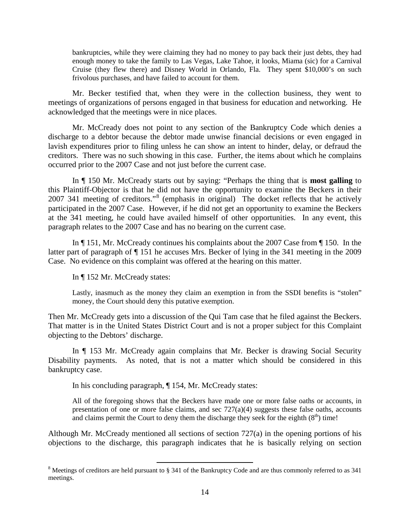bankruptcies, while they were claiming they had no money to pay back their just debts, they had enough money to take the family to Las Vegas, Lake Tahoe, it looks, Miama (sic) for a Carnival Cruise (they flew there) and Disney World in Orlando, Fla. They spent \$10,000's on such frivolous purchases, and have failed to account for them.

Mr. Becker testified that, when they were in the collection business, they went to meetings of organizations of persons engaged in that business for education and networking. He acknowledged that the meetings were in nice places.

Mr. McCready does not point to any section of the Bankruptcy Code which denies a discharge to a debtor because the debtor made unwise financial decisions or even engaged in lavish expenditures prior to filing unless he can show an intent to hinder, delay, or defraud the creditors. There was no such showing in this case. Further, the items about which he complains occurred prior to the 2007 Case and not just before the current case.

In ¶ 150 Mr. McCready starts out by saying: "Perhaps the thing that is **most galling** to this Plaintiff-Objector is that he did not have the opportunity to examine the Beckers in their 2007 341 meeting of creditors."<sup>[8](#page-13-0)</sup> (emphasis in original) The docket reflects that he actively participated in the 2007 Case. However, if he did not get an opportunity to examine the Beckers at the 341 meeting, he could have availed himself of other opportunities. In any event, this paragraph relates to the 2007 Case and has no bearing on the current case.

In ¶ 151, Mr. McCready continues his complaints about the 2007 Case from ¶ 150. In the latter part of paragraph of ¶ 151 he accuses Mrs. Becker of lying in the 341 meeting in the 2009 Case. No evidence on this complaint was offered at the hearing on this matter.

In ¶ 152 Mr. McCready states:

Lastly, inasmuch as the money they claim an exemption in from the SSDI benefits is "stolen" money, the Court should deny this putative exemption.

Then Mr. McCready gets into a discussion of the Qui Tam case that he filed against the Beckers. That matter is in the United States District Court and is not a proper subject for this Complaint objecting to the Debtors' discharge.

In ¶ 153 Mr. McCready again complains that Mr. Becker is drawing Social Security Disability payments. As noted, that is not a matter which should be considered in this bankruptcy case.

In his concluding paragraph, ¶ 154, Mr. McCready states:

All of the foregoing shows that the Beckers have made one or more false oaths or accounts, in presentation of one or more false claims, and sec  $727(a)(4)$  suggests these false oaths, accounts and claims permit the Court to deny them the discharge they seek for the eighth  $(8<sup>th</sup>)$  time!

Although Mr. McCready mentioned all sections of section  $727(a)$  in the opening portions of his objections to the discharge, this paragraph indicates that he is basically relying on section

<span id="page-13-0"></span><sup>&</sup>lt;sup>8</sup> Meetings of creditors are held pursuant to § 341 of the Bankruptcy Code and are thus commonly referred to as 341 meetings.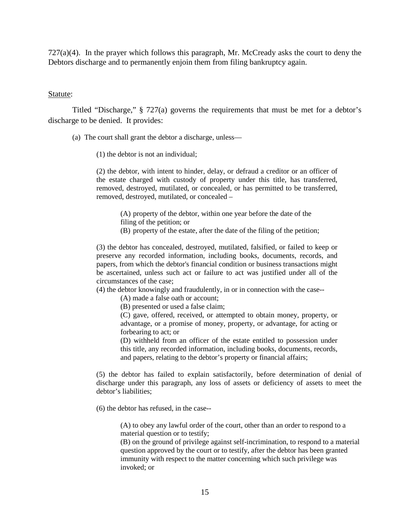$727(a)(4)$ . In the prayer which follows this paragraph, Mr. McCready asks the court to deny the Debtors discharge and to permanently enjoin them from filing bankruptcy again.

#### Statute:

Titled "Discharge," § 727(a) governs the requirements that must be met for a debtor's discharge to be denied. It provides:

(a) The court shall grant the debtor a discharge, unless—

(1) the debtor is not an individual;

(2) the debtor, with intent to hinder, delay, or defraud a creditor or an officer of the estate charged with custody of property under this title, has transferred, removed, destroyed, mutilated, or concealed, or has permitted to be transferred, removed, destroyed, mutilated, or concealed –

(A) property of the debtor, within one year before the date of the filing of the petition; or (B) property of the estate, after the date of the filing of the petition;

(3) the debtor has concealed, destroyed, mutilated, falsified, or failed to keep or preserve any recorded information, including books, documents, records, and papers, from which the debtor's financial condition or business transactions might be ascertained, unless such act or failure to act was justified under all of the circumstances of the case;

(4) the debtor knowingly and fraudulently, in or in connection with the case--

(A) made a false oath or account;

(B) presented or used a false claim;

(C) gave, offered, received, or attempted to obtain money, property, or advantage, or a promise of money, property, or advantage, for acting or forbearing to act; or

(D) withheld from an officer of the estate entitled to possession under this title, any recorded information, including books, documents, records, and papers, relating to the debtor's property or financial affairs;

(5) the debtor has failed to explain satisfactorily, before determination of denial of discharge under this paragraph, any loss of assets or deficiency of assets to meet the debtor's liabilities;

(6) the debtor has refused, in the case--

(A) to obey any lawful order of the court, other than an order to respond to a material question or to testify;

(B) on the ground of privilege against self-incrimination, to respond to a material question approved by the court or to testify, after the debtor has been granted immunity with respect to the matter concerning which such privilege was invoked; or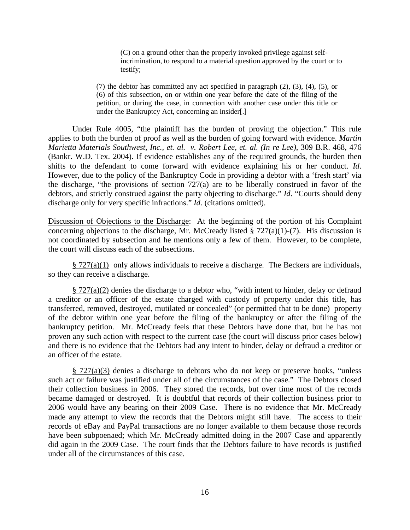(C) on a ground other than the properly invoked privilege against selfincrimination, to respond to a material question approved by the court or to testify;

(7) the debtor has committed any act specified in paragraph (2), (3), (4), (5), or (6) of this subsection, on or within one year before the date of the filing of the petition, or during the case, in connection with another case under this title or under the Bankruptcy Act, concerning an insider[.]

Under Rule 4005, "the plaintiff has the burden of proving the objection." This rule applies to both the burden of proof as well as the burden of going forward with evidence. *Martin Marietta Materials Southwest, Inc., et. al. v. Robert Lee, et. al. (In re Lee)*, 309 B.R. 468, 476 (Bankr. W.D. Tex. 2004). If evidence establishes any of the required grounds, the burden then shifts to the defendant to come forward with evidence explaining his or her conduct. *Id*. However, due to the policy of the Bankruptcy Code in providing a debtor with a 'fresh start' via the discharge, "the provisions of section 727(a) are to be liberally construed in favor of the debtors, and strictly construed against the party objecting to discharge." *Id*. "Courts should deny discharge only for very specific infractions." *Id*. (citations omitted).

Discussion of Objections to the Discharge: At the beginning of the portion of his Complaint concerning objections to the discharge, Mr. McCready listed  $\S 727(a)(1)-(7)$ . His discussion is not coordinated by subsection and he mentions only a few of them. However, to be complete, the court will discuss each of the subsections.

§ 727(a)(1) only allows individuals to receive a discharge. The Beckers are individuals, so they can receive a discharge.

§ 727(a)(2) denies the discharge to a debtor who, "with intent to hinder, delay or defraud a creditor or an officer of the estate charged with custody of property under this title, has transferred, removed, destroyed, mutilated or concealed" (or permitted that to be done) property of the debtor within one year before the filing of the bankruptcy or after the filing of the bankruptcy petition. Mr. McCready feels that these Debtors have done that, but he has not proven any such action with respect to the current case (the court will discuss prior cases below) and there is no evidence that the Debtors had any intent to hinder, delay or defraud a creditor or an officer of the estate.

§ 727(a)(3) denies a discharge to debtors who do not keep or preserve books, "unless such act or failure was justified under all of the circumstances of the case." The Debtors closed their collection business in 2006. They stored the records, but over time most of the records became damaged or destroyed. It is doubtful that records of their collection business prior to 2006 would have any bearing on their 2009 Case. There is no evidence that Mr. McCready made any attempt to view the records that the Debtors might still have. The access to their records of eBay and PayPal transactions are no longer available to them because those records have been subpoenaed; which Mr. McCready admitted doing in the 2007 Case and apparently did again in the 2009 Case. The court finds that the Debtors failure to have records is justified under all of the circumstances of this case.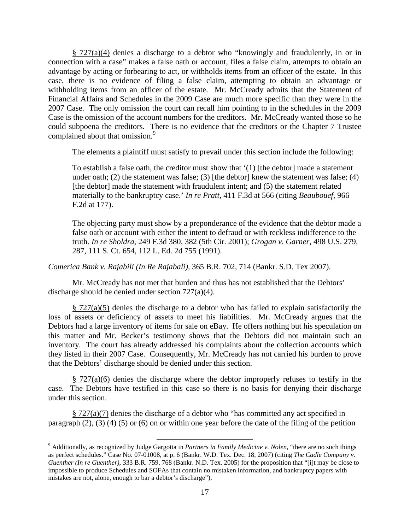§ 727(a)(4) denies a discharge to a debtor who "knowingly and fraudulently, in or in connection with a case" makes a false oath or account, files a false claim, attempts to obtain an advantage by acting or forbearing to act, or withholds items from an officer of the estate. In this case, there is no evidence of filing a false claim, attempting to obtain an advantage or withholding items from an officer of the estate. Mr. McCready admits that the Statement of Financial Affairs and Schedules in the 2009 Case are much more specific than they were in the 2007 Case. The only omission the court can recall him pointing to in the schedules in the 2009 Case is the omission of the account numbers for the creditors. Mr. McCready wanted those so he could subpoena the creditors. There is no evidence that the creditors or the Chapter 7 Trustee complained about that omission.<sup>[9](#page-16-0)</sup>

The elements a plaintiff must satisfy to prevail under this section include the following:

To establish a false oath, the creditor must show that '(1) [the debtor] made a statement under oath; (2) the statement was false; (3) [the debtor] knew the statement was false; (4) [the debtor] made the statement with fraudulent intent; and (5) the statement related materially to the bankruptcy case.' *In re Pratt*, 411 F.3d at 566 (citing *Beaubouef*, 966 F.2d at 177).

The objecting party must show by a preponderance of the evidence that the debtor made a false oath or account with either the intent to defraud or with reckless indifference to the truth. *In re Sholdra*, 249 F.3d 380, 382 (5th Cir. 2001); *Grogan v. Garner*, 498 U.S. 279, 287, 111 S. Ct. 654, 112 L. Ed. 2d 755 (1991).

*Comerica Bank v. Rajabili (In Re Rajabali),* 365 B.R. 702, 714 (Bankr. S.D. Tex 2007).

Mr. McCready has not met that burden and thus has not established that the Debtors' discharge should be denied under section 727(a)(4).

§ 727(a)(5) denies the discharge to a debtor who has failed to explain satisfactorily the loss of assets or deficiency of assets to meet his liabilities. Mr. McCready argues that the Debtors had a large inventory of items for sale on eBay. He offers nothing but his speculation on this matter and Mr. Becker's testimony shows that the Debtors did not maintain such an inventory. The court has already addressed his complaints about the collection accounts which they listed in their 2007 Case. Consequently, Mr. McCready has not carried his burden to prove that the Debtors' discharge should be denied under this section.

§ 727(a)(6) denies the discharge where the debtor improperly refuses to testify in the case. The Debtors have testified in this case so there is no basis for denying their discharge under this section.

§ 727(a)(7) denies the discharge of a debtor who "has committed any act specified in paragraph (2), (3) (4) (5) or (6) on or within one year before the date of the filing of the petition

<span id="page-16-0"></span> <sup>9</sup> Additionally, as recognized by Judge Gargotta in *Partners in Family Medicine v. Nolen*, "there are no such things as perfect schedules." Case No. 07-01008, at p. 6 (Bankr. W.D. Tex. Dec. 18, 2007) (citing *The Cadle Company v. Guenther (In re Guenther)*, 333 B.R. 759, 768 (Bankr. N.D. Tex. 2005) for the proposition that "[i]t may be close to impossible to produce Schedules and SOFAs that contain no mistaken information, and bankruptcy papers with mistakes are not, alone, enough to bar a debtor's discharge").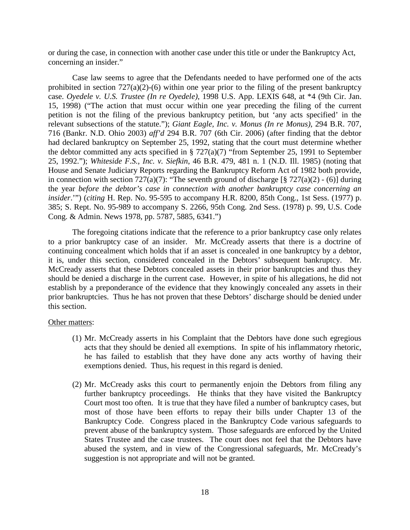or during the case, in connection with another case under this title or under the Bankruptcy Act, concerning an insider."

Case law seems to agree that the Defendants needed to have performed one of the acts prohibited in section  $727(a)(2)-(6)$  within one year prior to the filing of the present bankruptcy case. *Oyedele v. U.S. Trustee (In re Oyedele)*, 1998 U.S. App. LEXIS 648, at \*4 (9th Cir. Jan. 15, 1998) ("The action that must occur within one year preceding the filing of the current petition is not the filing of the previous bankruptcy petition, but 'any acts specified' in the relevant subsections of the statute."); *Giant Eagle, Inc. v. Monus (In re Monus)*, 294 B.R. 707, 716 (Bankr. N.D. Ohio 2003) *aff'd* 294 B.R. 707 (6th Cir. 2006) (after finding that the debtor had declared bankruptcy on September 25, 1992, stating that the court must determine whether the debtor committed any acts specified in  $\S 727(a)(7)$  "from September 25, 1991 to September 25, 1992."); *Whiteside F.S., Inc. v. Siefkin*, 46 B.R. 479, 481 n. 1 (N.D. Ill. 1985) (noting that House and Senate Judiciary Reports regarding the Bankruptcy Reform Act of 1982 both provide, in connection with section 727(a)(7): "The seventh ground of discharge  $[\frac{8}{3} 727(a)(2) - (6)]$  during the year *before the debtor's case in connection with another bankruptcy case concerning an insider*.'") (*citing* H. Rep. No. 95-595 to accompany H.R. 8200, 85th Cong., 1st Sess. (1977) p. 385; S. Rept. No. 95-989 to accompany S. 2266, 95th Cong. 2nd Sess. (1978) p. 99, U.S. Code Cong. & Admin. News 1978, pp. 5787, 5885, 6341.")

The foregoing citations indicate that the reference to a prior bankruptcy case only relates to a prior bankruptcy case of an insider. Mr. McCready asserts that there is a doctrine of continuing concealment which holds that if an asset is concealed in one bankruptcy by a debtor, it is, under this section, considered concealed in the Debtors' subsequent bankruptcy. Mr. McCready asserts that these Debtors concealed assets in their prior bankruptcies and thus they should be denied a discharge in the current case. However, in spite of his allegations, he did not establish by a preponderance of the evidence that they knowingly concealed any assets in their prior bankruptcies. Thus he has not proven that these Debtors' discharge should be denied under this section.

#### Other matters:

- (1) Mr. McCready asserts in his Complaint that the Debtors have done such egregious acts that they should be denied all exemptions. In spite of his inflammatory rhetoric, he has failed to establish that they have done any acts worthy of having their exemptions denied. Thus, his request in this regard is denied.
- (2) Mr. McCready asks this court to permanently enjoin the Debtors from filing any further bankruptcy proceedings. He thinks that they have visited the Bankruptcy Court most too often. It is true that they have filed a number of bankruptcy cases, but most of those have been efforts to repay their bills under Chapter 13 of the Bankruptcy Code. Congress placed in the Bankruptcy Code various safeguards to prevent abuse of the bankruptcy system. Those safeguards are enforced by the United States Trustee and the case trustees. The court does not feel that the Debtors have abused the system, and in view of the Congressional safeguards, Mr. McCready's suggestion is not appropriate and will not be granted.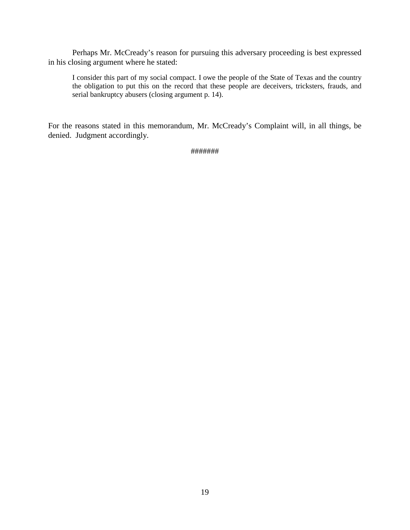Perhaps Mr. McCready's reason for pursuing this adversary proceeding is best expressed in his closing argument where he stated:

I consider this part of my social compact. I owe the people of the State of Texas and the country the obligation to put this on the record that these people are deceivers, tricksters, frauds, and serial bankruptcy abusers (closing argument p. 14).

For the reasons stated in this memorandum, Mr. McCready's Complaint will, in all things, be denied. Judgment accordingly.

#######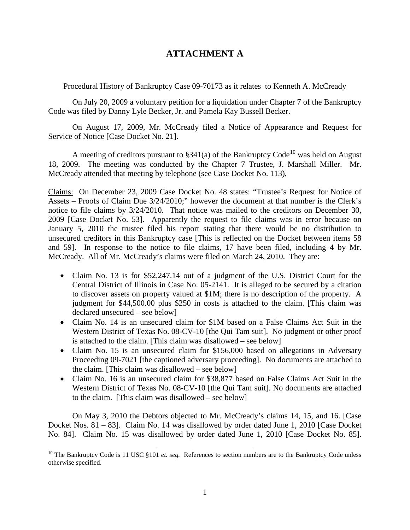# **ATTACHMENT A**

### Procedural History of Bankruptcy Case 09-70173 as it relates to Kenneth A. McCready

On July 20, 2009 a voluntary petition for a liquidation under Chapter 7 of the Bankruptcy Code was filed by Danny Lyle Becker, Jr. and Pamela Kay Bussell Becker.

On August 17, 2009, Mr. McCready filed a Notice of Appearance and Request for Service of Notice [Case Docket No. 21].

A meeting of creditors pursuant to  $\S 341(a)$  of the Bankruptcy Code<sup>[10](#page-19-0)</sup> was held on August 18, 2009. The meeting was conducted by the Chapter 7 Trustee, J. Marshall Miller. Mr. McCready attended that meeting by telephone (see Case Docket No. 113),

Claims: On December 23, 2009 Case Docket No. 48 states: "Trustee's Request for Notice of Assets – Proofs of Claim Due 3/24/2010;" however the document at that number is the Clerk's notice to file claims by 3/24/2010. That notice was mailed to the creditors on December 30, 2009 [Case Docket No. 53]. Apparently the request to file claims was in error because on January 5, 2010 the trustee filed his report stating that there would be no distribution to unsecured creditors in this Bankruptcy case [This is reflected on the Docket between items 58 and 59]. In response to the notice to file claims, 17 have been filed, including 4 by Mr. McCready. All of Mr. McCready's claims were filed on March 24, 2010. They are:

- Claim No. 13 is for \$52,247.14 out of a judgment of the U.S. District Court for the Central District of Illinois in Case No. 05-2141. It is alleged to be secured by a citation to discover assets on property valued at \$1M; there is no description of the property. A judgment for \$44,500.00 plus \$250 in costs is attached to the claim. [This claim was declared unsecured – see below]
- Claim No. 14 is an unsecured claim for \$1M based on a False Claims Act Suit in the Western District of Texas No. 08-CV-10 [the Qui Tam suit]. No judgment or other proof is attached to the claim. [This claim was disallowed – see below]
- Claim No. 15 is an unsecured claim for \$156,000 based on allegations in Adversary Proceeding 09-7021 [the captioned adversary proceeding]. No documents are attached to the claim. [This claim was disallowed – see below]
- Claim No. 16 is an unsecured claim for \$38,877 based on False Claims Act Suit in the Western District of Texas No. 08-CV-10 [the Qui Tam suit]. No documents are attached to the claim. [This claim was disallowed – see below]

On May 3, 2010 the Debtors objected to Mr. McCready's claims 14, 15, and 16. [Case Docket Nos. 81 – 83]. Claim No. 14 was disallowed by order dated June 1, 2010 [Case Docket No. 84]. Claim No. 15 was disallowed by order dated June 1, 2010 [Case Docket No. 85].

<span id="page-19-0"></span><sup>&</sup>lt;sup>10</sup> The Bankruptcy Code is 11 USC §101 *et. seq.* References to section numbers are to the Bankruptcy Code unless otherwise specified.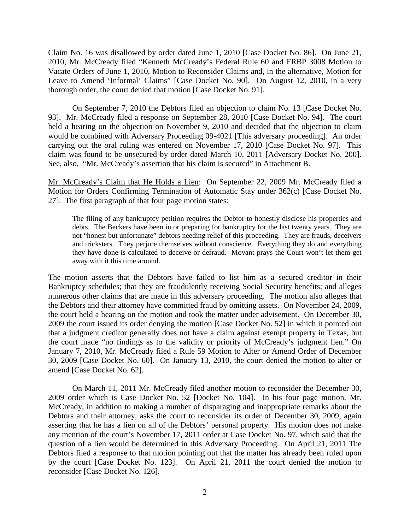Claim No. 16 was disallowed by order dated June 1, 2010 [Case Docket No. 86]. On June 21, 2010, Mr. McCready filed "Kenneth McCready's Federal Rule 60 and FRBP 3008 Motion to Vacate Orders of June 1, 2010, Motion to Reconsider Claims and, in the alternative, Motion for Leave to Amend 'Informal' Claims" [Case Docket No. 90]. On August 12, 2010, in a very thorough order, the court denied that motion [Case Docket No. 91].

On September 7, 2010 the Debtors filed an objection to claim No. 13 [Case Docket No. 93]. Mr. McCready filed a response on September 28, 2010 [Case Docket No. 94]. The court held a hearing on the objection on November 9, 2010 and decided that the objection to claim would be combined with Adversary Proceeding 09-4021 [This adversary proceeding]. An order carrying out the oral ruling was entered on November 17, 2010 [Case Docket No. 97]. This claim was found to be unsecured by order dated March 10, 2011 [Adversary Docket No. 200]. See, also, "Mr. McCready's assertion that his claim is secured" in Attachment B.

Mr. McCready's Claim that He Holds a Lien: On September 22, 2009 Mr. McCready filed a Motion for Orders Confirming Termination of Automatic Stay under 362(c) [Case Docket No. 27]. The first paragraph of that four page motion states:

The filing of any bankruptcy petition requires the Debtor to honestly disclose his properties and debts. The Beckers have been in or preparing for bankruptcy for the last twenty years. They are not "honest but unfortunate" debtors needing relief of this proceeding. They are frauds, deceivers and tricksters. They perjure themselves without conscience. Everything they do and everything they have done is calculated to deceive or defraud. Movant prays the Court won't let them get away with it this time around.

The motion asserts that the Debtors have failed to list him as a secured creditor in their Bankruptcy schedules; that they are fraudulently receiving Social Security benefits; and alleges numerous other claims that are made in this adversary proceeding. The motion also alleges that the Debtors and their attorney have committed fraud by omitting assets. On November 24, 2009, the court held a hearing on the motion and took the matter under advisement. On December 30, 2009 the court issued its order denying the motion [Case Docket No. 52] in which it pointed out that a judgment creditor generally does not have a claim against exempt property in Texas, but the court made "no findings as to the validity or priority of McCready's judgment lien." On January 7, 2010, Mr. McCready filed a Rule 59 Motion to Alter or Amend Order of December 30, 2009 [Case Docket No. 60]. On January 13, 2010, the court denied the motion to alter or amend [Case Docket No. 62].

On March 11, 2011 Mr. McCready filed another motion to reconsider the December 30, 2009 order which is Case Docket No. 52 [Docket No. 104]. In his four page motion, Mr. McCready, in addition to making a number of disparaging and inappropriate remarks about the Debtors and their attorney, asks the court to reconsider its order of December 30, 2009, again asserting that he has a lien on all of the Debtors' personal property. His motion does not make any mention of the court's November 17, 2011 order at Case Docket No. 97, which said that the question of a lien would be determined in this Adversary Proceeding. On April 21, 2011 The Debtors filed a response to that motion pointing out that the matter has already been ruled upon by the court [Case Docket No. 123]. On April 21, 2011 the court denied the motion to reconsider [Case Docket No. 126].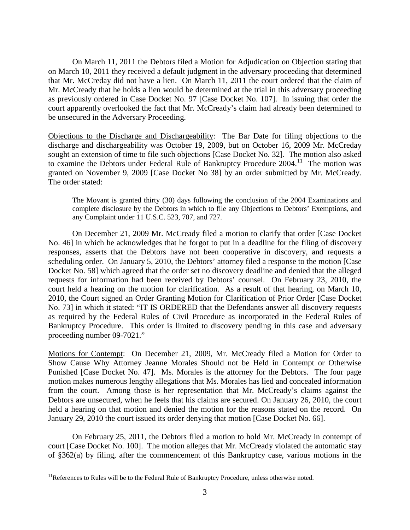On March 11, 2011 the Debtors filed a Motion for Adjudication on Objection stating that on March 10, 2011 they received a default judgment in the adversary proceeding that determined that Mr. McCreday did not have a lien. On March 11, 2011 the court ordered that the claim of Mr. McCready that he holds a lien would be determined at the trial in this adversary proceeding as previously ordered in Case Docket No. 97 [Case Docket No. 107]. In issuing that order the court apparently overlooked the fact that Mr. McCready's claim had already been determined to be unsecured in the Adversary Proceeding.

Objections to the Discharge and Dischargeability: The Bar Date for filing objections to the discharge and dischargeability was October 19, 2009, but on October 16, 2009 Mr. McCreday sought an extension of time to file such objections [Case Docket No. 32]. The motion also asked to examine the Debtors under Federal Rule of Bankruptcy Procedure 2004.<sup>[11](#page-21-0)</sup> The motion was granted on November 9, 2009 [Case Docket No 38] by an order submitted by Mr. McCready. The order stated:

The Movant is granted thirty (30) days following the conclusion of the 2004 Examinations and complete disclosure by the Debtors in which to file any Objections to Debtors' Exemptions, and any Complaint under 11 U.S.C. 523, 707, and 727.

On December 21, 2009 Mr. McCready filed a motion to clarify that order [Case Docket No. 46] in which he acknowledges that he forgot to put in a deadline for the filing of discovery responses, asserts that the Debtors have not been cooperative in discovery, and requests a scheduling order. On January 5, 2010, the Debtors' attorney filed a response to the motion [Case Docket No. 58] which agreed that the order set no discovery deadline and denied that the alleged requests for information had been received by Debtors' counsel. On February 23, 2010, the court held a hearing on the motion for clarification. As a result of that hearing, on March 10, 2010, the Court signed an Order Granting Motion for Clarification of Prior Order [Case Docket No. 73] in which it stated: "IT IS ORDERED that the Defendants answer all discovery requests as required by the Federal Rules of Civil Procedure as incorporated in the Federal Rules of Bankruptcy Procedure. This order is limited to discovery pending in this case and adversary proceeding number 09-7021."

Motions for Contempt: On December 21, 2009, Mr. McCready filed a Motion for Order to Show Cause Why Attorney Jeanne Morales Should not be Held in Contempt or Otherwise Punished [Case Docket No. 47]. Ms. Morales is the attorney for the Debtors. The four page motion makes numerous lengthy allegations that Ms. Morales has lied and concealed information from the court. Among those is her representation that Mr. McCready's claims against the Debtors are unsecured, when he feels that his claims are secured. On January 26, 2010, the court held a hearing on that motion and denied the motion for the reasons stated on the record. On January 29, 2010 the court issued its order denying that motion [Case Docket No. 66].

On February 25, 2011, the Debtors filed a motion to hold Mr. McCready in contempt of court [Case Docket No. 100]. The motion alleges that Mr. McCready violated the automatic stay of §362(a) by filing, after the commencement of this Bankruptcy case, various motions in the

<span id="page-21-0"></span><sup>&</sup>lt;sup>11</sup>References to Rules will be to the Federal Rule of Bankruptcy Procedure, unless otherwise noted.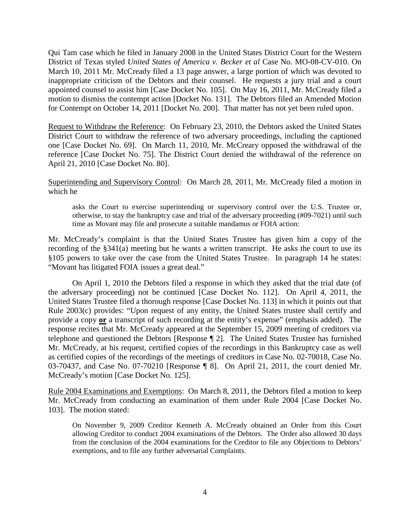Qui Tam case which he filed in January 2008 in the United States District Court for the Western District of Texas styled *United States of America v. Becker et al* Case No. MO-08-CV-010. On March 10, 2011 Mr. McCready filed a 13 page answer, a large portion of which was devoted to inappropriate criticism of the Debtors and their counsel. He requests a jury trial and a court appointed counsel to assist him [Case Docket No. 105]. On May 16, 2011, Mr. McCready filed a motion to dismiss the contempt action [Docket No. 131]. The Debtors filed an Amended Motion for Contempt on October 14, 2011 [Docket No. 200]. That matter has not yet been ruled upon.

Request to Withdraw the Reference: On February 23, 2010, the Debtors asked the United States District Court to withdraw the reference of two adversary proceedings, including the captioned one [Case Docket No. 69]. On March 11, 2010, Mr. McCreary opposed the withdrawal of the reference [Case Docket No. 75]. The District Court denied the withdrawal of the reference on April 21, 2010 [Case Docket No. 80].

Superintending and Supervisory Control: On March 28, 2011, Mr. McCready filed a motion in which he

asks the Court to exercise superintending or supervisory control over the U.S. Trustee or, otherwise, to stay the bankruptcy case and trial of the adversary proceeding (#09-7021) until such time as Movant may file and prosecute a suitable mandamus or FOIA action:

Mr. McCready's complaint is that the United States Trustee has given him a copy of the recording of the §341(a) meeting but he wants a written transcript. He asks the court to use its §105 powers to take over the case from the United States Trustee. In paragraph 14 he states: "Movant has litigated FOIA issues a great deal."

On April 1, 2010 the Debtors filed a response in which they asked that the trial date (of the adversary proceeding) not be continued [Case Docket No. 112]. On April 4, 2011, the United States Trustee filed a thorough response [Case Docket No. 113] in which it points out that Rule 2003(c) provides: "Upon request of any entity, the United States trustee shall certify and provide a copy **or** a transcript of such recording at the entity's expense" (emphasis added). The response recites that Mr. McCready appeared at the September 15, 2009 meeting of creditors via telephone and questioned the Debtors [Response ¶ 2]. The United States Trustee has furnished Mr. McCready, at his request, certified copies of the recordings in this Bankruptcy case as well as certified copies of the recordings of the meetings of creditors in Case No. 02-70018, Case No. 03-70437, and Case No. 07-70210 [Response ¶ 8]. On April 21, 2011, the court denied Mr. McCready's motion [Case Docket No. 125].

Rule 2004 Examinations and Exemptions: On March 8, 2011, the Debtors filed a motion to keep Mr. McCready from conducting an examination of them under Rule 2004 [Case Docket No. 103]. The motion stated:

On November 9, 2009 Creditor Kenneth A. McCready obtained an Order from this Court allowing Creditor to conduct 2004 examinations of the Debtors. The Order also allowed 30 days from the conclusion of the 2004 examinations for the Creditor to file any Objections to Debtors' exemptions, and to file any further adversarial Complaints.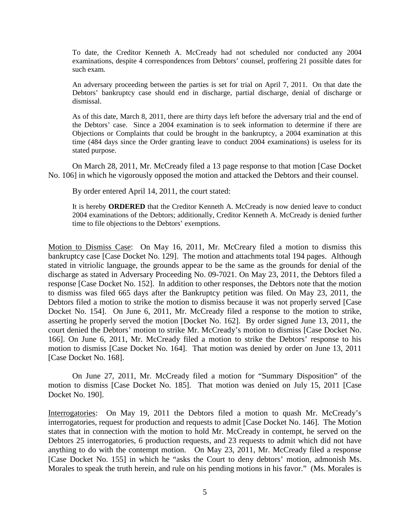To date, the Creditor Kenneth A. McCready had not scheduled nor conducted any 2004 examinations, despite 4 correspondences from Debtors' counsel, proffering 21 possible dates for such exam.

An adversary proceeding between the parties is set for trial on April 7, 2011. On that date the Debtors' bankruptcy case should end in discharge, partial discharge, denial of discharge or dismissal.

As of this date, March 8, 2011, there are thirty days left before the adversary trial and the end of the Debtors' case. Since a 2004 examination is to seek information to determine if there are Objections or Complaints that could be brought in the bankruptcy, a 2004 examination at this time (484 days since the Order granting leave to conduct 2004 examinations) is useless for its stated purpose.

On March 28, 2011, Mr. McCready filed a 13 page response to that motion [Case Docket No. 106] in which he vigorously opposed the motion and attacked the Debtors and their counsel.

By order entered April 14, 2011, the court stated:

It is hereby **ORDERED** that the Creditor Kenneth A. McCready is now denied leave to conduct 2004 examinations of the Debtors; additionally, Creditor Kenneth A. McCready is denied further time to file objections to the Debtors' exemptions.

Motion to Dismiss Case: On May 16, 2011, Mr. McCreary filed a motion to dismiss this bankruptcy case [Case Docket No. 129]. The motion and attachments total 194 pages. Although stated in vitriolic language, the grounds appear to be the same as the grounds for denial of the discharge as stated in Adversary Proceeding No. 09-7021. On May 23, 2011, the Debtors filed a response [Case Docket No. 152]. In addition to other responses, the Debtors note that the motion to dismiss was filed 665 days after the Bankruptcy petition was filed. On May 23, 2011, the Debtors filed a motion to strike the motion to dismiss because it was not properly served [Case Docket No. 154]. On June 6, 2011, Mr. McCready filed a response to the motion to strike, asserting he properly served the motion [Docket No. 162]. By order signed June 13, 2011, the court denied the Debtors' motion to strike Mr. McCready's motion to dismiss [Case Docket No. 166]. On June 6, 2011, Mr. McCready filed a motion to strike the Debtors' response to his motion to dismiss [Case Docket No. 164]. That motion was denied by order on June 13, 2011 [Case Docket No. 168].

On June 27, 2011, Mr. McCready filed a motion for "Summary Disposition" of the motion to dismiss [Case Docket No. 185]. That motion was denied on July 15, 2011 [Case Docket No. 190].

Interrogatories: On May 19, 2011 the Debtors filed a motion to quash Mr. McCready's interrogatories, request for production and requests to admit [Case Docket No. 146]. The Motion states that in connection with the motion to hold Mr. McCready in contempt, he served on the Debtors 25 interrogatories, 6 production requests, and 23 requests to admit which did not have anything to do with the contempt motion. On May 23, 2011, Mr. McCready filed a response [Case Docket No. 155] in which he "asks the Court to deny debtors' motion, admonish Ms. Morales to speak the truth herein, and rule on his pending motions in his favor." (Ms. Morales is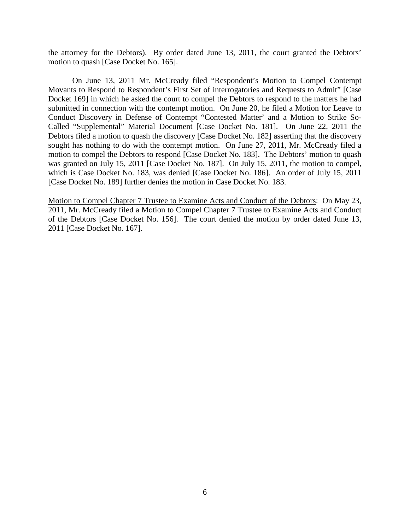the attorney for the Debtors). By order dated June 13, 2011, the court granted the Debtors' motion to quash [Case Docket No. 165].

On June 13, 2011 Mr. McCready filed "Respondent's Motion to Compel Contempt Movants to Respond to Respondent's First Set of interrogatories and Requests to Admit" [Case Docket 169] in which he asked the court to compel the Debtors to respond to the matters he had submitted in connection with the contempt motion. On June 20, he filed a Motion for Leave to Conduct Discovery in Defense of Contempt "Contested Matter' and a Motion to Strike So-Called "Supplemental" Material Document [Case Docket No. 181]. On June 22, 2011 the Debtors filed a motion to quash the discovery [Case Docket No. 182] asserting that the discovery sought has nothing to do with the contempt motion. On June 27, 2011, Mr. McCready filed a motion to compel the Debtors to respond [Case Docket No. 183]. The Debtors' motion to quash was granted on July 15, 2011 [Case Docket No. 187]. On July 15, 2011, the motion to compel, which is Case Docket No. 183, was denied [Case Docket No. 186]. An order of July 15, 2011 [Case Docket No. 189] further denies the motion in Case Docket No. 183.

Motion to Compel Chapter 7 Trustee to Examine Acts and Conduct of the Debtors: On May 23, 2011, Mr. McCready filed a Motion to Compel Chapter 7 Trustee to Examine Acts and Conduct of the Debtors [Case Docket No. 156]. The court denied the motion by order dated June 13, 2011 [Case Docket No. 167].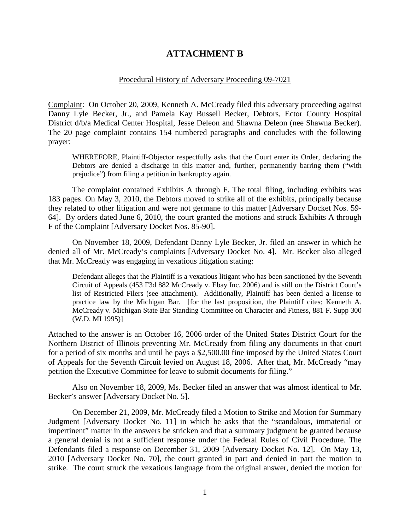## **ATTACHMENT B**

#### Procedural History of Adversary Proceeding 09-7021

Complaint: On October 20, 2009, Kenneth A. McCready filed this adversary proceeding against Danny Lyle Becker, Jr., and Pamela Kay Bussell Becker, Debtors, Ector County Hospital District d/b/a Medical Center Hospital, Jesse Deleon and Shawna Deleon (nee Shawna Becker). The 20 page complaint contains 154 numbered paragraphs and concludes with the following prayer:

WHEREFORE, Plaintiff-Objector respectfully asks that the Court enter its Order, declaring the Debtors are denied a discharge in this matter and, further, permanently barring them ("with prejudice") from filing a petition in bankruptcy again.

The complaint contained Exhibits A through F. The total filing, including exhibits was 183 pages. On May 3, 2010, the Debtors moved to strike all of the exhibits, principally because they related to other litigation and were not germane to this matter [Adversary Docket Nos. 59- 64]. By orders dated June 6, 2010, the court granted the motions and struck Exhibits A through F of the Complaint [Adversary Docket Nos. 85-90].

On November 18, 2009, Defendant Danny Lyle Becker, Jr. filed an answer in which he denied all of Mr. McCready's complaints [Adversary Docket No. 4]. Mr. Becker also alleged that Mr. McCready was engaging in vexatious litigation stating:

Defendant alleges that the Plaintiff is a vexatious litigant who has been sanctioned by the Seventh Circuit of Appeals (453 F3d 882 McCready v. Ebay Inc, 2006) and is still on the District Court's list of Restricted Filers (see attachment). Additionally, Plaintiff has been denied a license to practice law by the Michigan Bar. [for the last proposition, the Plaintiff cites: Kenneth A. McCready v. Michigan State Bar Standing Committee on Character and Fitness, 881 F. Supp 300 (W.D. MI 1995)]

Attached to the answer is an October 16, 2006 order of the United States District Court for the Northern District of Illinois preventing Mr. McCready from filing any documents in that court for a period of six months and until he pays a \$2,500.00 fine imposed by the United States Court of Appeals for the Seventh Circuit levied on August 18, 2006. After that, Mr. McCready "may petition the Executive Committee for leave to submit documents for filing."

Also on November 18, 2009, Ms. Becker filed an answer that was almost identical to Mr. Becker's answer [Adversary Docket No. 5].

On December 21, 2009, Mr. McCready filed a Motion to Strike and Motion for Summary Judgment [Adversary Docket No. 11] in which he asks that the "scandalous, immaterial or impertinent" matter in the answers be stricken and that a summary judgment be granted because a general denial is not a sufficient response under the Federal Rules of Civil Procedure. The Defendants filed a response on December 31, 2009 [Adversary Docket No. 12]. On May 13, 2010 [Adversary Docket No. 70], the court granted in part and denied in part the motion to strike. The court struck the vexatious language from the original answer, denied the motion for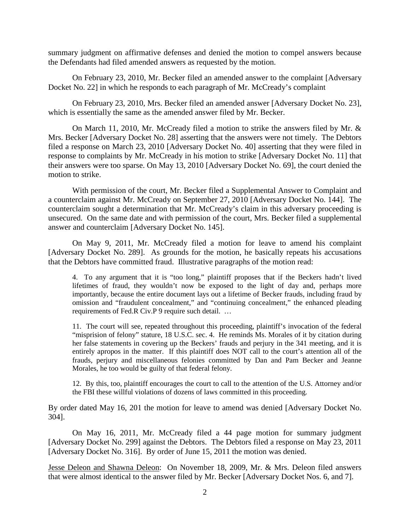summary judgment on affirmative defenses and denied the motion to compel answers because the Defendants had filed amended answers as requested by the motion.

On February 23, 2010, Mr. Becker filed an amended answer to the complaint [Adversary Docket No. 22] in which he responds to each paragraph of Mr. McCready's complaint

On February 23, 2010, Mrs. Becker filed an amended answer [Adversary Docket No. 23], which is essentially the same as the amended answer filed by Mr. Becker.

On March 11, 2010, Mr. McCready filed a motion to strike the answers filed by Mr. & Mrs. Becker [Adversary Docket No. 28] asserting that the answers were not timely. The Debtors filed a response on March 23, 2010 [Adversary Docket No. 40] asserting that they were filed in response to complaints by Mr. McCready in his motion to strike [Adversary Docket No. 11] that their answers were too sparse. On May 13, 2010 [Adversary Docket No. 69], the court denied the motion to strike.

With permission of the court, Mr. Becker filed a Supplemental Answer to Complaint and a counterclaim against Mr. McCready on September 27, 2010 [Adversary Docket No. 144]. The counterclaim sought a determination that Mr. McCready's claim in this adversary proceeding is unsecured. On the same date and with permission of the court, Mrs. Becker filed a supplemental answer and counterclaim [Adversary Docket No. 145].

On May 9, 2011, Mr. McCready filed a motion for leave to amend his complaint [Adversary Docket No. 289]. As grounds for the motion, he basically repeats his accusations that the Debtors have committed fraud. Illustrative paragraphs of the motion read:

4. To any argument that it is "too long," plaintiff proposes that if the Beckers hadn't lived lifetimes of fraud, they wouldn't now be exposed to the light of day and, perhaps more importantly, because the entire document lays out a lifetime of Becker frauds, including fraud by omission and "fraudulent concealment," and "continuing concealment," the enhanced pleading requirements of Fed.R Civ.P 9 require such detail. …

11. The court will see, repeated throughout this proceeding, plaintiff's invocation of the federal "misprision of felony" stature, 18 U.S.C. sec. 4. He reminds Ms. Morales of it by citation during her false statements in covering up the Beckers' frauds and perjury in the 341 meeting, and it is entirely apropos in the matter. If this plaintiff does NOT call to the court's attention all of the frauds, perjury and miscellaneous felonies committed by Dan and Pam Becker and Jeanne Morales, he too would be guilty of that federal felony.

12. By this, too, plaintiff encourages the court to call to the attention of the U.S. Attorney and/or the FBI these willful violations of dozens of laws committed in this proceeding.

By order dated May 16, 201 the motion for leave to amend was denied [Adversary Docket No. 304].

On May 16, 2011, Mr. McCready filed a 44 page motion for summary judgment [Adversary Docket No. 299] against the Debtors. The Debtors filed a response on May 23, 2011 [Adversary Docket No. 316]. By order of June 15, 2011 the motion was denied.

Jesse Deleon and Shawna Deleon: On November 18, 2009, Mr. & Mrs. Deleon filed answers that were almost identical to the answer filed by Mr. Becker [Adversary Docket Nos. 6, and 7].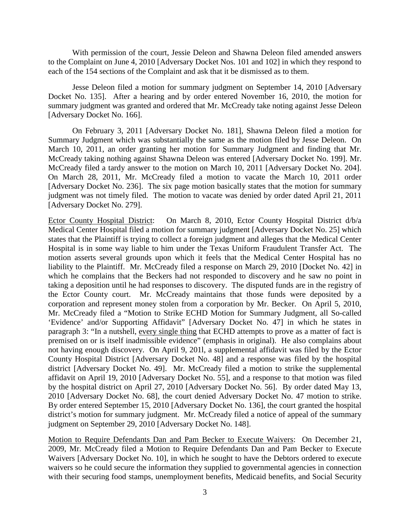With permission of the court, Jessie Deleon and Shawna Deleon filed amended answers to the Complaint on June 4, 2010 [Adversary Docket Nos. 101 and 102] in which they respond to each of the 154 sections of the Complaint and ask that it be dismissed as to them.

Jesse Deleon filed a motion for summary judgment on September 14, 2010 [Adversary Docket No. 135]. After a hearing and by order entered November 16, 2010, the motion for summary judgment was granted and ordered that Mr. McCready take noting against Jesse Deleon [Adversary Docket No. 166].

On February 3, 2011 [Adversary Docket No. 181], Shawna Deleon filed a motion for Summary Judgment which was substantially the same as the motion filed by Jesse Deleon. On March 10, 2011, an order granting her motion for Summary Judgment and finding that Mr. McCready taking nothing against Shawna Deleon was entered [Adversary Docket No. 199]. Mr. McCready filed a tardy answer to the motion on March 10, 2011 [Adversary Docket No. 204]. On March 28, 2011, Mr. McCready filed a motion to vacate the March 10, 2011 order [Adversary Docket No. 236]. The six page motion basically states that the motion for summary judgment was not timely filed. The motion to vacate was denied by order dated April 21, 2011 [Adversary Docket No. 279].

Ector County Hospital District: On March 8, 2010, Ector County Hospital District d/b/a Medical Center Hospital filed a motion for summary judgment [Adversary Docket No. 25] which states that the Plaintiff is trying to collect a foreign judgment and alleges that the Medical Center Hospital is in some way liable to him under the Texas Uniform Fraudulent Transfer Act. The motion asserts several grounds upon which it feels that the Medical Center Hospital has no liability to the Plaintiff. Mr. McCready filed a response on March 29, 2010 [Docket No. 42] in which he complains that the Beckers had not responded to discovery and he saw no point in taking a deposition until he had responses to discovery. The disputed funds are in the registry of the Ector County court. Mr. McCready maintains that those funds were deposited by a corporation and represent money stolen from a corporation by Mr. Becker. On April 5, 2010, Mr. McCready filed a "Motion to Strike ECHD Motion for Summary Judgment, all So-called 'Evidence' and/or Supporting Affidavit" [Adversary Docket No. 47] in which he states in paragraph 3: "In a nutshell, every single thing that ECHD attempts to prove as a matter of fact is premised on or is itself inadmissible evidence" (emphasis in original). He also complains about not having enough discovery. On April 9, 201l, a supplemental affidavit was filed by the Ector County Hospital District [Adversary Docket No. 48] and a response was filed by the hospital district [Adversary Docket No. 49]. Mr. McCready filed a motion to strike the supplemental affidavit on April 19, 2010 [Adversary Docket No. 55], and a response to that motion was filed by the hospital district on April 27, 2010 [Adversary Docket No. 56]. By order dated May 13, 2010 [Adversary Docket No. 68], the court denied Adversary Docket No. 47 motion to strike. By order entered September 15, 2010 [Adversary Docket No. 136], the court granted the hospital district's motion for summary judgment. Mr. McCready filed a notice of appeal of the summary judgment on September 29, 2010 [Adversary Docket No. 148].

Motion to Require Defendants Dan and Pam Becker to Execute Waivers: On December 21, 2009, Mr. McCready filed a Motion to Require Defendants Dan and Pam Becker to Execute Waivers [Adversary Docket No. 10], in which he sought to have the Debtors ordered to execute waivers so he could secure the information they supplied to governmental agencies in connection with their securing food stamps, unemployment benefits, Medicaid benefits, and Social Security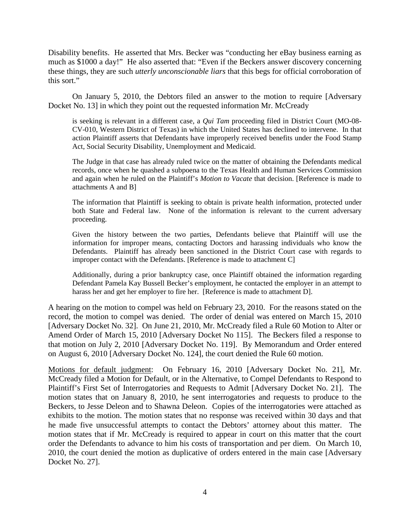Disability benefits. He asserted that Mrs. Becker was "conducting her eBay business earning as much as \$1000 a day!" He also asserted that: "Even if the Beckers answer discovery concerning these things, they are such *utterly unconscionable liars* that this begs for official corroboration of this sort."

On January 5, 2010, the Debtors filed an answer to the motion to require [Adversary Docket No. 13] in which they point out the requested information Mr. McCready

is seeking is relevant in a different case, a *Qui Tam* proceeding filed in District Court (MO-08- CV-010, Western District of Texas) in which the United States has declined to intervene. In that action Plaintiff asserts that Defendants have improperly received benefits under the Food Stamp Act, Social Security Disability, Unemployment and Medicaid.

The Judge in that case has already ruled twice on the matter of obtaining the Defendants medical records, once when he quashed a subpoena to the Texas Health and Human Services Commission and again when he ruled on the Plaintiff's *Motion to Vacate* that decision. [Reference is made to attachments A and B]

The information that Plaintiff is seeking to obtain is private health information, protected under both State and Federal law. None of the information is relevant to the current adversary proceeding.

Given the history between the two parties, Defendants believe that Plaintiff will use the information for improper means, contacting Doctors and harassing individuals who know the Defendants. Plaintiff has already been sanctioned in the District Court case with regards to improper contact with the Defendants. [Reference is made to attachment C]

Additionally, during a prior bankruptcy case, once Plaintiff obtained the information regarding Defendant Pamela Kay Bussell Becker's employment, he contacted the employer in an attempt to harass her and get her employer to fire her. [Reference is made to attachment D].

A hearing on the motion to compel was held on February 23, 2010. For the reasons stated on the record, the motion to compel was denied. The order of denial was entered on March 15, 2010 [Adversary Docket No. 32]. On June 21, 2010, Mr. McCready filed a Rule 60 Motion to Alter or Amend Order of March 15, 2010 [Adversary Docket No 115]. The Beckers filed a response to that motion on July 2, 2010 [Adversary Docket No. 119]. By Memorandum and Order entered on August 6, 2010 [Adversary Docket No. 124], the court denied the Rule 60 motion.

Motions for default judgment: On February 16, 2010 [Adversary Docket No. 21], Mr. McCready filed a Motion for Default, or in the Alternative, to Compel Defendants to Respond to Plaintiff's First Set of Interrogatories and Requests to Admit [Adversary Docket No. 21]. The motion states that on January 8, 2010, he sent interrogatories and requests to produce to the Beckers, to Jesse Deleon and to Shawna Deleon. Copies of the interrogatories were attached as exhibits to the motion. The motion states that no response was received within 30 days and that he made five unsuccessful attempts to contact the Debtors' attorney about this matter. The motion states that if Mr. McCready is required to appear in court on this matter that the court order the Defendants to advance to him his costs of transportation and per diem. On March 10, 2010, the court denied the motion as duplicative of orders entered in the main case [Adversary Docket No. 27].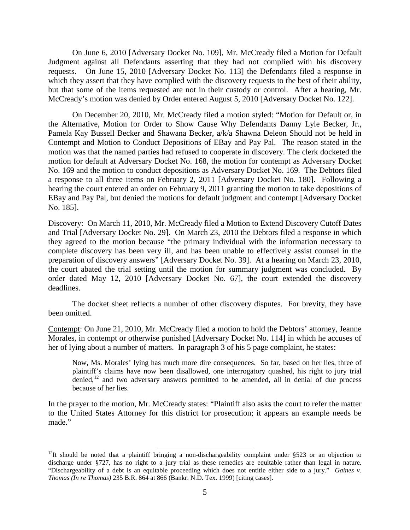On June 6, 2010 [Adversary Docket No. 109], Mr. McCready filed a Motion for Default Judgment against all Defendants asserting that they had not complied with his discovery requests. On June 15, 2010 [Adversary Docket No. 113] the Defendants filed a response in which they assert that they have complied with the discovery requests to the best of their ability, but that some of the items requested are not in their custody or control. After a hearing, Mr. McCready's motion was denied by Order entered August 5, 2010 [Adversary Docket No. 122].

On December 20, 2010, Mr. McCready filed a motion styled: "Motion for Default or, in the Alternative, Motion for Order to Show Cause Why Defendants Danny Lyle Becker, Jr., Pamela Kay Bussell Becker and Shawana Becker, a/k/a Shawna Deleon Should not be held in Contempt and Motion to Conduct Depositions of EBay and Pay Pal. The reason stated in the motion was that the named parties had refused to cooperate in discovery. The clerk docketed the motion for default at Adversary Docket No. 168, the motion for contempt as Adversary Docket No. 169 and the motion to conduct depositions as Adversary Docket No. 169. The Debtors filed a response to all three items on February 2, 2011 [Adversary Docket No. 180]. Following a hearing the court entered an order on February 9, 2011 granting the motion to take depositions of EBay and Pay Pal, but denied the motions for default judgment and contempt [Adversary Docket No. 185].

Discovery: On March 11, 2010, Mr. McCready filed a Motion to Extend Discovery Cutoff Dates and Trial [Adversary Docket No. 29]. On March 23, 2010 the Debtors filed a response in which they agreed to the motion because "the primary individual with the information necessary to complete discovery has been very ill, and has been unable to effectively assist counsel in the preparation of discovery answers" [Adversary Docket No. 39]. At a hearing on March 23, 2010, the court abated the trial setting until the motion for summary judgment was concluded. By order dated May 12, 2010 [Adversary Docket No. 67], the court extended the discovery deadlines.

The docket sheet reflects a number of other discovery disputes. For brevity, they have been omitted.

Contempt: On June 21, 2010, Mr. McCready filed a motion to hold the Debtors' attorney, Jeanne Morales, in contempt or otherwise punished [Adversary Docket No. 114] in which he accuses of her of lying about a number of matters. In paragraph 3 of his 5 page complaint, he states:

Now, Ms. Morales' lying has much more dire consequences. So far, based on her lies, three of plaintiff's claims have now been disallowed, one interrogatory quashed, his right to jury trial denied,<sup>[12](#page-29-0)</sup> and two adversary answers permitted to be amended, all in denial of due process because of her lies.

In the prayer to the motion, Mr. McCready states: "Plaintiff also asks the court to refer the matter to the United States Attorney for this district for prosecution; it appears an example needs be made."

<span id="page-29-0"></span><sup>&</sup>lt;sup>12</sup>It should be noted that a plaintiff bringing a non-dischargeability complaint under §523 or an objection to discharge under §727, has no right to a jury trial as these remedies are equitable rather than legal in nature. "Dischargeability of a debt is an equitable proceeding which does not entitle either side to a jury." *Gaines v. Thomas (In re Thomas)* 235 B.R. 864 at 866 (Bankr. N.D. Tex. 1999) [citing cases].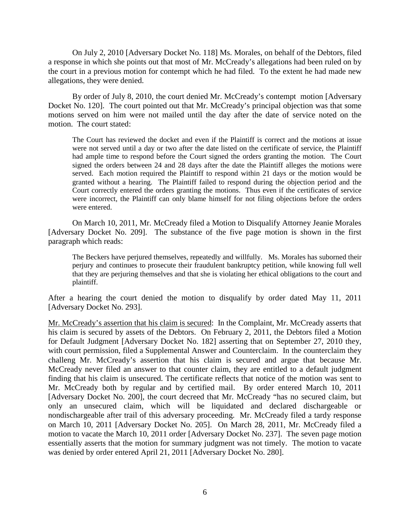On July 2, 2010 [Adversary Docket No. 118] Ms. Morales, on behalf of the Debtors, filed a response in which she points out that most of Mr. McCready's allegations had been ruled on by the court in a previous motion for contempt which he had filed. To the extent he had made new allegations, they were denied.

By order of July 8, 2010, the court denied Mr. McCready's contempt motion [Adversary Docket No. 120]. The court pointed out that Mr. McCready's principal objection was that some motions served on him were not mailed until the day after the date of service noted on the motion. The court stated:

The Court has reviewed the docket and even if the Plaintiff is correct and the motions at issue were not served until a day or two after the date listed on the certificate of service, the Plaintiff had ample time to respond before the Court signed the orders granting the motion. The Court signed the orders between 24 and 28 days after the date the Plaintiff alleges the motions were served. Each motion required the Plaintiff to respond within 21 days or the motion would be granted without a hearing. The Plaintiff failed to respond during the objection period and the Court correctly entered the orders granting the motions. Thus even if the certificates of service were incorrect, the Plaintiff can only blame himself for not filing objections before the orders were entered.

On March 10, 2011, Mr. McCready filed a Motion to Disqualify Attorney Jeanie Morales [Adversary Docket No. 209]. The substance of the five page motion is shown in the first paragraph which reads:

The Beckers have perjured themselves, repeatedly and willfully. Ms. Morales has suborned their perjury and continues to prosecute their fraudulent bankruptcy petition, while knowing full well that they are perjuring themselves and that she is violating her ethical obligations to the court and plaintiff.

After a hearing the court denied the motion to disqualify by order dated May 11, 2011 [Adversary Docket No. 293].

Mr. McCready's assertion that his claim is secured: In the Complaint, Mr. McCready asserts that his claim is secured by assets of the Debtors. On February 2, 2011, the Debtors filed a Motion for Default Judgment [Adversary Docket No. 182] asserting that on September 27, 2010 they, with court permission, filed a Supplemental Answer and Counterclaim. In the counterclaim they challeng Mr. McCready's assertion that his claim is secured and argue that because Mr. McCready never filed an answer to that counter claim, they are entitled to a default judgment finding that his claim is unsecured. The certificate reflects that notice of the motion was sent to Mr. McCready both by regular and by certified mail. By order entered March 10, 2011 [Adversary Docket No. 200], the court decreed that Mr. McCready "has no secured claim, but only an unsecured claim, which will be liquidated and declared dischargeable or nondischargeable after trail of this adversary proceeding. Mr. McCready filed a tardy response on March 10, 2011 [Adversary Docket No. 205]. On March 28, 2011, Mr. McCready filed a motion to vacate the March 10, 2011 order [Adversary Docket No. 237]. The seven page motion essentially asserts that the motion for summary judgment was not timely. The motion to vacate was denied by order entered April 21, 2011 [Adversary Docket No. 280].